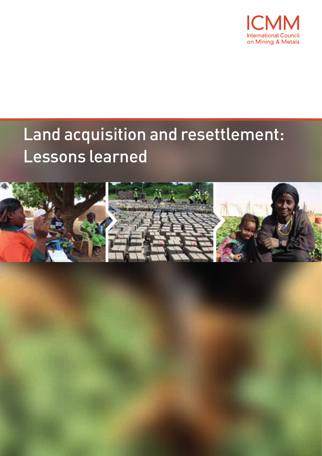

# Land acquisition and resettlement: Lessons learned

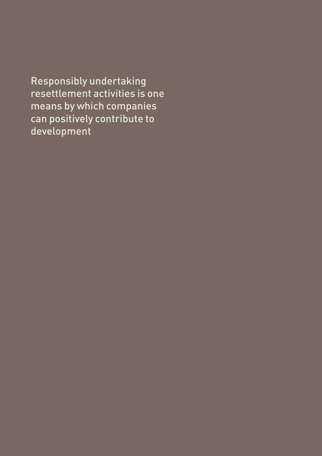Responsibly undertaking resettlement activities is one means by which companies can positively contribute to development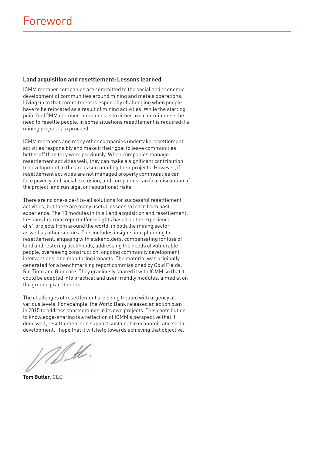#### **Land acquisition and resettlement: Lessons learned**

ICMM member companies are committed to the social and economic development of communities around mining and metals operations. Living up to that commitment is especially challenging when people have to be relocated as a result of mining activities. While the starting point for ICMM member companies is to either avoid or minimise the need to resettle people, in some situations resettlement is required if a mining project is to proceed.

ICMM members and many other companies undertake resettlement activities responsibly and make it their goal to leave communities better off than they were previously. When companies manage resettlement activities well, they can make a significant contribution to development in the areas surrounding their projects. However, if resettlement activities are not managed properly communities can face poverty and social exclusion, and companies can face disruption of the project, and run legal or reputational risks.

There are no one-size-fits-all solutions for successful resettlement activities, but there are many useful lessons to learn from past experience. The 10 modules in this Land acquisition and resettlement: Lessons Learned report offer insights based on the experience of 41 projects from around the world, in both the mining sector as well as other sectors. This includes insights into planning for resettlement, engaging with stakeholders, compensating for loss of land and restoring livelihoods, addressing the needs of vulnerable people, overseeing construction, ongoing community development interventions, and monitoring impacts. The material was originally generated for a benchmarking report commissioned by Gold Fields, Rio Tinto and Glencore. They graciously shared it with ICMM so that it could be adapted into practical and user friendly modules, aimed at on the ground practitioners.

The challenges of resettlement are being treated with urgency at various levels. For example, the World Bank released an action plan in 2015 to address shortcomings in its own projects. This contribution to knowledge-sharing is a reflection of ICMM's perspective that if done well, resettlement can support sustainable economic and social development. I hope that it will help towards achieving that objective.

1 N.H.

**Tom Butler**, CEO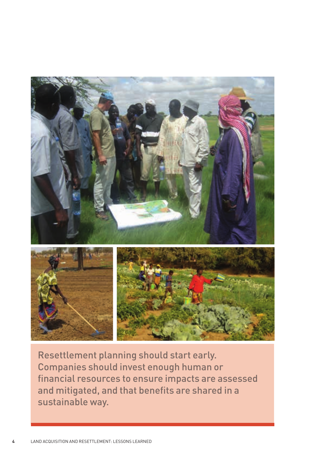

Resettlement planning should start early. Companies should invest enough human or financial resources to ensure impacts are assessed and mitigated, and that benefits are shared in a sustainable way.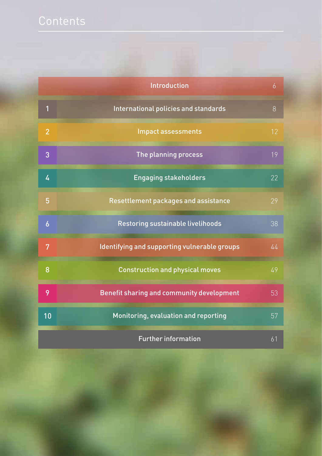|                | <b>Introduction</b>                          | $\overline{6}$ |
|----------------|----------------------------------------------|----------------|
| $\overline{1}$ | International policies and standards         | 8              |
| $\overline{2}$ | <b>Impact assessments</b>                    | 12             |
| 3              | The planning process                         | 19             |
| 4              | <b>Engaging stakeholders</b>                 | 22             |
| 5              | Resettlement packages and assistance         | 29             |
| $\overline{6}$ | Restoring sustainable livelihoods            | 38             |
| 7              | Identifying and supporting vulnerable groups | 44             |
| 8              | <b>Construction and physical moves</b>       | 49             |
| 9              | Benefit sharing and community development    | 53             |
| 10             | Monitoring, evaluation and reporting         | 57             |
|                | <b>Further information</b>                   | 61             |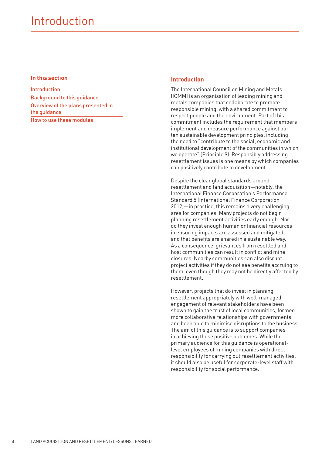## <span id="page-5-0"></span>**In this section**

| Introduction                       |  |
|------------------------------------|--|
| <b>Background to this guidance</b> |  |
| Overview of the plans presented in |  |
| the quidance                       |  |
| How to use these modules           |  |

#### **Introduction**

The International Council on Mining and Metals (ICMM) is an organisation of leading mining and metals companies that collaborate to promote responsible mining, with a shared commitment to respect people and the environment. Part of this commitment includes the requirement that members implement and measure performance against our ten sustainable development principles, including the need to "contribute to the social, economic and institutional development of the communities in which we operate" (Principle 9). Responsibly addressing resettlement issues is one means by which companies can positively contribute to development.

Despite the clear global standards around resettlement and land acquisition—notably, the International Finance Corporation's Performance Standard 5 (International Finance Corporation 2012)—in practice, this remains a very challenging area for companies. Many projects do not begin planning resettlement activities early enough. Nor do they invest enough human or financial resources in ensuring impacts are assessed and mitigated, and that benefits are shared in a sustainable way. As a consequence, grievances from resettled and host communities can result in conflict and mine closures. Nearby communities can also disrupt project activities if they do not see benefits accruing to them, even though they may not be directly affected by resettlement.

However, projects that do invest in planning resettlement appropriately with well-managed engagement of relevant stakeholders have been shown to gain the trust of local communities, formed more collaborative relationships with governments and been able to minimise disruptions to the business. The aim of this guidance is to support companies in achieving these positive outcomes. While the primary audience for this guidance is operationallevel employees of mining companies with direct responsibility for carrying out resettlement activities, it should also be useful for corporate-level staff with responsibility for social performance.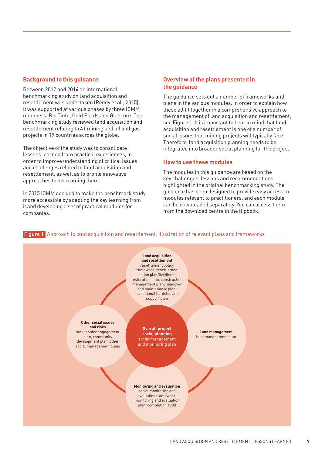## <span id="page-6-0"></span>**Background to this guidance**

Between 2012 and 2014 an international benchmarking study on land acquisition and resettlement was undertaken (Reddy et al., 2015). It was supported at various phases by three ICMM members: Rio Tinto, Gold Fields and Glencore. The benchmarking study reviewed land acquisition and resettlement relating to 41 mining and oil and gas projects in 19 countries across the globe.

The objective of the study was to consolidate lessons learned from practical experiences, in order to improve understanding of critical issues and challenges related to land acquisition and resettlement, as well as to profile innovative approaches to overcoming them.

In 2015 ICMM decided to make the benchmark study more accessible by adapting the key learning from it and developing a set of practical modules for companies.

## **Overview of the plans presented in the guidance**

The guidance sets out a number of frameworks and plans in the various modules. In order to explain how these all fit together in a comprehensive approach to the management of land acquisition and resettlement, see Figure 1. It is important to bear in mind that land acquisition and resettlement is one of a number of social issues that mining projects will typically face. Therefore, land acquisition planning needs to be integrated into broader social planning for the project.

### **How to use these modules**

The modules in this guidance are based on the key challenges, lessons and recommendations highlighted in the original benchmarking study. The guidance has been designed to provide easy access to modules relevant to practitioners, and each module can be downloaded separately. You can access them from the download centre in the flipbook.

## Figure 1 Approach to land acquisition and resettlement: illustration of relevant plans and frameworks

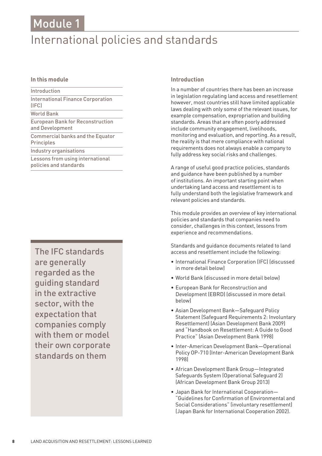## <span id="page-7-0"></span>Module 1

## International policies and standards

### **In this module**

Introduction [International Finance Corporation](#page-8-0)  (IFC) [World Bank](#page-9-0) [European Bank for Reconstruction](#page-9-0)  and Development [Commercial banks and the Equator](#page-9-0)  Principles [Industry organisations](#page-10-0) 

[Lessons from using international](#page-10-0)  policies and standards

The IFC standards are generally regarded as the guiding standard in the extractive sector, with the expectation that companies comply with them or model their own corporate standards on them

### **Introduction**

In a number of countries there has been an increase in legislation regulating land access and resettlement however, most countries still have limited applicable laws dealing with only some of the relevant issues, for example compensation, expropriation and building standards. Areas that are often poorly addressed include community engagement, livelihoods, monitoring and evaluation, and reporting. As a result, the reality is that mere compliance with national requirements does not always enable a company to fully address key social risks and challenges.

A range of useful good practice policies, standards and guidance have been published by a number of institutions. An important starting point when undertaking land access and resettlement is to fully understand both the legislative framework and relevant policies and standards.

This module provides an overview of key international policies and standards that companies need to consider, challenges in this context, lessons from experience and recommendations.

Standards and guidance documents related to land access and resettlement include the following:

- International Finance Corporation (IFC) (discussed in more detail below)
- World Bank (discussed in more detail below)
- European Bank for Reconstruction and Development (EBRD) (discussed in more detail below)
- Asian Development Bank—Safeguard Policy Statement (Safeguard Requirements 2: Involuntary Resettlement) (Asian Development Bank 2009) and "Handbook on Resettlement: A Guide to Good Practice" (Asian Development Bank 1998)
- Inter-American Development Bank—Operational Policy OP-710 (Inter-American Development Bank 1998)
- African Development Bank Group—Integrated Safeguards System (Operational Safeguard 2) (African Development Bank Group 2013)
- Japan Bank for International Cooperation— "Guidelines for Confirmation of Environmental and Social Considerations" (involuntary resettlement) (Japan Bank for International Cooperation 2002).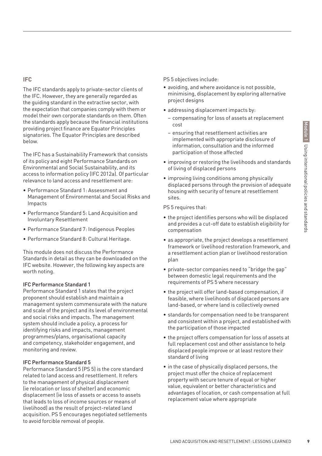## <span id="page-8-0"></span>**IFC**

The IFC standards apply to private-sector clients of the IFC. However, they are generally regarded as the guiding standard in the extractive sector, with the expectation that companies comply with them or model their own corporate standards on them. Often the standards apply because the financial institutions providing project finance are Equator Principles signatories. The Equator Principles are described below.

The IFC has a Sustainability Framework that consists of its policy and eight Performance Standards on Environmental and Social Sustainability, and its access to information policy (IFC 2012a). Of particular relevance to land access and resettlement are:

- Performance Standard 1: Assessment and Management of Environmental and Social Risks and Impacts
- Performance Standard 5: Land Acquisition and Involuntary Resettlement
- Performance Standard 7: Indigenous Peoples
- Performance Standard 8: Cultural Heritage.

This module does not discuss the Performance Standards in detail as they can be downloaded on the IFC website. However, the following key aspects are worth noting.

#### IFC Performance Standard 1

Performance Standard 1 states that the project proponent should establish and maintain a management system commensurate with the nature and scale of the project and its level of environmental and social risks and impacts. The management system should include a policy, a process for identifying risks and impacts, management programmes/plans, organisational capacity and competency, stakeholder engagement, and monitoring and review.

#### IFC Performance Standard 5

Performance Standard 5 (PS 5) is the core standard related to land access and resettlement. It refers to the management of physical displacement (ie relocation or loss of shelter) and economic displacement (ie loss of assets or access to assets that leads to loss of income sources or means of livelihood) as the result of project-related land acquisition. PS 5 encourages negotiated settlements to avoid forcible removal of people.

PS 5 objectives include:

- avoiding, and where avoidance is not possible, minimising, displacement by exploring alternative project designs
- addressing displacement impacts by:
	- compensating for loss of assets at replacement cost
	- ensuring that resettlement activities are implemented with appropriate disclosure of information, consultation and the informed participation of those affected
- improving or restoring the livelihoods and standards of living of displaced persons
- improving living conditions among physically displaced persons through the provision of adequate housing with security of tenure at resettlement sites.

PS 5 requires that:

- the project identifies persons who will be displaced and provides a cut-off date to establish eligibility for compensation
- as appropriate, the project develops a resettlement framework or livelihood restoration framework, and a resettlement action plan or livelihood restoration plan
- private-sector companies need to "bridge the gap" between domestic legal requirements and the requirements of PS 5 where necessary
- the project will offer land-based compensation, if feasible, where livelihoods of displaced persons are land-based, or where land is collectively owned
- standards for compensation need to be transparent and consistent within a project, and established with the participation of those impacted
- the project offers compensation for loss of assets at full replacement cost and other assistance to help displaced people improve or at least restore their standard of living
- cost<br>
implemented with appropriate disclosure of<br>
information, consultation and the informed<br>
participation of those affected<br>
participation of those affected<br>
mproving or restoring the livelihoods and standards<br>  $\frac{10}{8}$ • in the case of physically displaced persons, the project must offer the choice of replacement property with secure tenure of equal or higher value, equivalent or better characteristics and advantages of location, or cash compensation at full replacement value where appropriate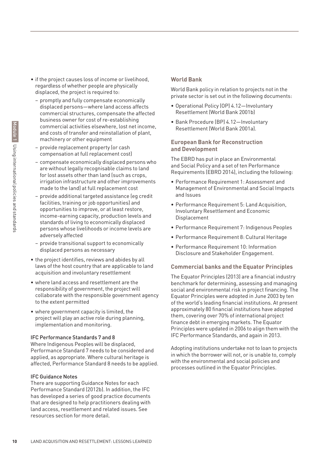- <span id="page-9-0"></span>• if the project causes loss of income or livelihood, regardless of whether people are physically displaced, the project is required to:
	- promptly and fully compensate economically displaced persons—where land access affects commercial structures, compensate the affected business owner for cost of re-establishing commercial activities elsewhere, lost net income, and costs of transfer and reinstallation of plant, machinery or other equipment
	- provide replacement property (or cash compensation at full replacement cost)
	- compensate economically displaced persons who are without legally recognisable claims to land for lost assets other than land (such as crops, irrigation infrastructure and other improvements made to the land) at full replacement cost
- provide additional targeted assistance (eg credit facilities, training or job opportunities) and opportunities to improve, or at least restore, income-earning capacity, production levels and standards of living to economically displaced persons whose livelihoods or income levels are adversely affected
- provide transitional support to economically displaced persons as necessary
- the project identifies, reviews and abides by all laws of the host country that are applicable to land acquisition and involuntary resettlement
- where land access and resettlement are the responsibility of government, the project will collaborate with the responsible government agency to the extent permitted
- where government capacity is limited, the project will play an active role during planning, implementation and monitoring.

#### IFC Performance Standards 7 and 8

Where Indigenous Peoples will be displaced, Performance Standard 7 needs to be considered and applied, as appropriate. Where cultural heritage is affected, Performance Standard 8 needs to be applied.

#### IFC Guidance Notes

There are supporting Guidance Notes for each Performance Standard (2012b). In addition, the IFC has developed a series of good practice documents that are designed to help practitioners dealing with land access, resettlement and related issues. See resources section for more detail.

### **World Bank**

World Bank policy in relation to projects not in the private sector is set out in the following documents:

- Operational Policy (OP) 4.12—Involuntary Resettlement (World Bank 2001b)
- Bank Procedure (BP) 4.12—Involuntary Resettlement (World Bank 2001a).

## **European Bank for Reconstruction and Development**

The EBRD has put in place an Environmental and Social Policy and a set of ten Performance Requirements (EBRD 2014), including the following:

- Performance Requirement 1: Assessment and Management of Environmental and Social Impacts and Issues
- Performance Requirement 5: Land Acquisition, Involuntary Resettlement and Economic Displacement
- Performance Requirement 7: Indigenous Peoples
- Performance Requirement 8: Cultural Heritage
- Performance Requirement 10: Information Disclosure and Stakeholder Engagement.

#### **Commercial banks and the Equator Principles**

The Equator Principles (2013) are a financial industry benchmark for determining, assessing and managing social and environmental risk in project financing. The Equator Principles were adopted in June 2003 by ten of the world's leading financial institutions. At present approximately 80 financial institutions have adopted them, covering over 70% of international project finance debt in emerging markets. The Equator Principles were updated in 2006 to align them with the IFC Performance Standards, and again in 2013.

Adopting institutions undertake not to loan to projects in which the borrower will not, or is unable to, comply with the environmental and social policies and processes outlined in the Equator Principles.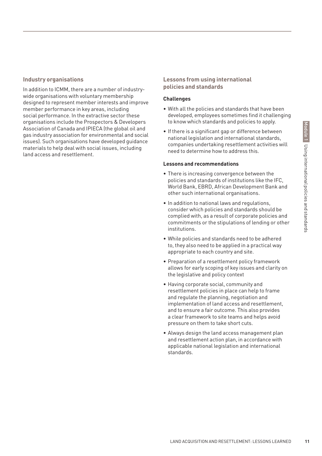### <span id="page-10-0"></span>**Industry organisations**

In addition to ICMM, there are a number of industrywide organisations with voluntary membership designed to represent member interests and improve member performance in key areas, including social performance. In the extractive sector these organisations include the Prospectors & Developers Association of Canada and IPIECA (the global oil and gas industry association for environmental and social issues). Such organisations have developed guidance materials to help deal with social issues, including land access and resettlement.

## **Lessons from using international policies and standards**

#### **Challenges**

- With all the policies and standards that have been developed, employees sometimes find it challenging to know which standards and policies to apply.
- If there is a significant gap or difference between national legislation and international standards, companies undertaking resettlement activities will need to determine how to address this.

- There is increasing convergence between the policies and standards of institutions like the IFC, World Bank, EBRD, African Development Bank and other such international organisations.
- In addition to national laws and regulations, consider which policies and standards should be complied with, as a result of corporate policies and commitments or the stipulations of lending or other institutions.
- While policies and standards need to be adhered to, they also need to be applied in a practical way appropriate to each country and site.
- Preparation of a resettlement policy framework allows for early scoping of key issues and clarity on the legislative and policy context
- NATOW WINCHT START THE THE CHECT CONDUSTRIBUTED TO THE THE CHECT IS A SIGNIFICAT CHECT INTO THE CHECT INTO THE CHECT INTO THE CHECT INTO THE CHECT INTO THE CHECT INTO THE CHECT INTO THE CHECT INTO THE CHECT INTO THE CHECT • Having corporate social, community and resettlement policies in place can help to frame and regulate the planning, negotiation and implementation of land access and resettlement, and to ensure a fair outcome. This also provides a clear framework to site teams and helps avoid pressure on them to take short cuts.
- Always design the land access management plan and resettlement action plan, in accordance with applicable national legislation and international standards.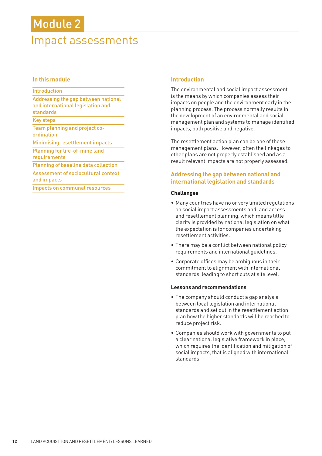## <span id="page-11-0"></span>Module 2

## Impact assessments

### **In this module**

Introduction Addressing the gap between national and international legislation and standards [Key steps](#page-12-0) [Team planning and project co](#page-15-0)ordination [Minimising resettlement impacts](#page-15-0) [Planning for life-of-mine land](#page-16-0) 

requirements

[Planning of baseline data collection](#page-16-0) [Assessment of sociocultural context](#page-17-0) 

and impacts

[Impacts on communal resources](#page-17-0)

## **Introduction**

The environmental and social impact assessment is the means by which companies assess their impacts on people and the environment early in the planning process. The process normally results in the development of an environmental and social management plan and systems to manage identified impacts, both positive and negative.

The resettlement action plan can be one of these management plans. However, often the linkages to other plans are not properly established and as a result relevant impacts are not properly assessed.

## **Addressing the gap between national and international legislation and standards**

#### **Challenges**

- Many countries have no or very limited regulations on social impact assessments and land access and resettlement planning, which means little clarity is provided by national legislation on what the expectation is for companies undertaking resettlement activities.
- There may be a conflict between national policy requirements and international guidelines.
- Corporate offices may be ambiguous in their commitment to alignment with international standards, leading to short cuts at site level.

- The company should conduct a gap analysis between local legislation and international standards and set out in the resettlement action plan how the higher standards will be reached to reduce project risk.
- Companies should work with governments to put a clear national legislative framework in place, which requires the identification and mitigation of social impacts, that is aligned with international standards.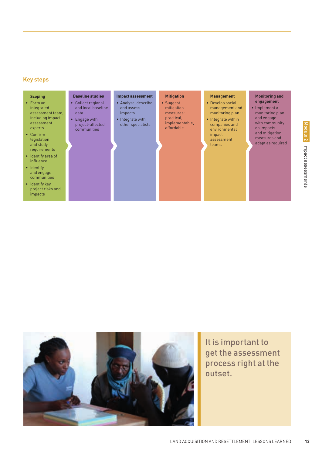## <span id="page-12-0"></span>**Key steps**



It is important to get the assessment process right at the outset.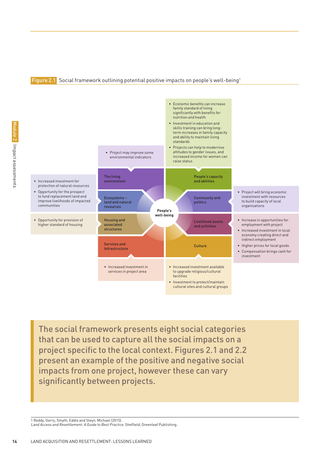



The social framework presents eight social categories that can be used to capture all the social impacts on a project specific to the local context. Figures 2.1 and 2.2 present an example of the positive and negative social impacts from one project, however these can vary significantly between projects.

1 Reddy, Gerry, Smyth, Eddie and Steyn, Michael (2015). Land Access and Resettlement: A Guide to Best Practice. Sheffield, Greenleaf Publishing.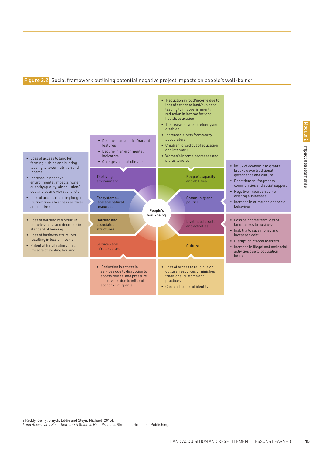



Module 2

Impact assessments

Module 2 Impact assessments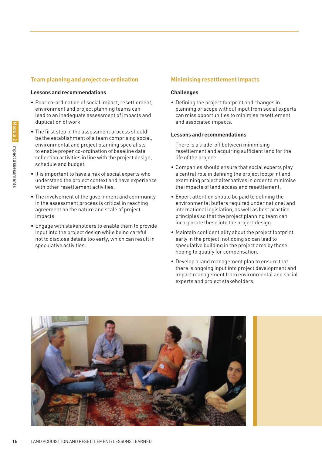### <span id="page-15-0"></span>**Team planning and project co-ordination**

#### **Lessons and recommendations**

- Poor co-ordination of social impact, resettlement, environment and project planning teams can lead to an inadequate assessment of impacts and duplication of work.
- The first step in the assessment process should be the establishment of a team comprising social, environmental and project planning specialists to enable proper co-ordination of baseline data collection activities in line with the project design, schedule and budget.
- It is important to have a mix of social experts who understand the project context and have experience with other resettlement activities.
- The involvement of the government and community in the assessment process is critical in reaching agreement on the nature and scale of project impacts.
- Engage with stakeholders to enable them to provide input into the project design while being careful not to disclose details too early, which can result in speculative activities.

## **Minimising resettlement impacts**

#### **Challenges**

• Defining the project footprint and changes in planning or scope without input from social experts can miss opportunities to minimise resettlement and associated impacts.

#### **Lessons and recommendations**

There is a trade-off between minimising resettlement and acquiring sufficient land for the life of the project:

- Companies should ensure that social experts play a central role in defining the project footprint and examining project alternatives in order to minimise the impacts of land access and resettlement.
- Expert attention should be paid to defining the environmental buffers required under national and international legislation, as well as best practice principles so that the project planning team can incorporate these into the project design.
- Maintain confidentiality about the project footprint early in the project; not doing so can lead to speculative building in the project area by those hoping to qualify for compensation.
- Develop a land management plan to ensure that there is ongoing input into project development and impact management from environmental and social experts and project stakeholders.

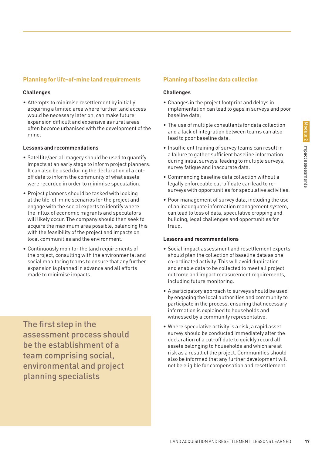## <span id="page-16-0"></span>**Planning for life-of-mine land requirements**

#### **Challenges**

• Attempts to minimise resettlement by initially acquiring a limited area where further land access would be necessary later on, can make future expansion difficult and expensive as rural areas often become urbanised with the development of the mine.

#### **Lessons and recommendations**

- Satellite/aerial imagery should be used to quantify impacts at an early stage to inform project planners. It can also be used during the declaration of a cutoff date to inform the community of what assets were recorded in order to minimise speculation.
- Project planners should be tasked with looking at the life-of-mine scenarios for the project and engage with the social experts to identify where the influx of economic migrants and speculators will likely occur. The company should then seek to acquire the maximum area possible, balancing this with the feasibility of the project and impacts on local communities and the environment.
- Continuously monitor the land requirements of the project, consulting with the environmental and social monitoring teams to ensure that any further expansion is planned in advance and all efforts made to minimise impacts.

The first step in the assessment process should be the establishment of a team comprising social, environmental and project planning specialists

## **Planning of baseline data collection**

#### **Challenges**

- Changes in the project footprint and delays in implementation can lead to gaps in surveys and poor baseline data.
- The use of multiple consultants for data collection and a lack of integration between teams can also lead to poor baseline data.
- Insufficient training of survey teams can result in a failure to gather sufficient baseline information during initial surveys, leading to multiple surveys, survey fatigue and inaccurate data.
- Commencing baseline data collection without a legally enforceable cut-off date can lead to resurveys with opportunities for speculative activities.
- Poor management of survey data, including the use of an inadequate information management system, can lead to loss of data, speculative cropping and building, legal challenges and opportunities for fraud.

- Social impact assessment and resettlement experts should plan the collection of baseline data as one co-ordinated activity. This will avoid duplication and enable data to be collected to meet all project outcome and impact measurement requirements, including future monitoring.
- A participatory approach to surveys should be used by engaging the local authorities and community to participate in the process, ensuring that necessary information is explained to households and witnessed by a community representative.
- Where speculative activity is a risk, a rapid asset survey should be conducted immediately after the declaration of a cut-off date to quickly record all assets belonging to households and which are at risk as a result of the project. Communities should also be informed that any further development will not be eligible for compensation and resettlement.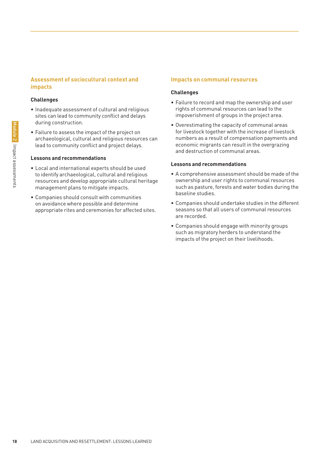### <span id="page-17-0"></span>**Assessment of sociocultural context and impacts**

#### **Challenges**

- Inadequate assessment of cultural and religious sites can lead to community conflict and delays during construction.
- Failure to assess the impact of the project on archaeological, cultural and religious resources can lead to community conflict and project delays.

#### **Lessons and recommendations**

- Local and international experts should be used to identify archaeological, cultural and religious resources and develop appropriate cultural heritage management plans to mitigate impacts.
- Companies should consult with communities on avoidance where possible and determine appropriate rites and ceremonies for affected sites.

#### **Impacts on communal resources**

#### **Challenges**

- Failure to record and map the ownership and user rights of communal resources can lead to the impoverishment of groups in the project area.
- Overestimating the capacity of communal areas for livestock together with the increase of livestock numbers as a result of compensation payments and economic migrants can result in the overgrazing and destruction of communal areas.

- A comprehensive assessment should be made of the ownership and user rights to communal resources such as pasture, forests and water bodies during the baseline studies.
- Companies should undertake studies in the different seasons so that all users of communal resources are recorded.
- Companies should engage with minority groups such as migratory herders to understand the impacts of the project on their livelihoods.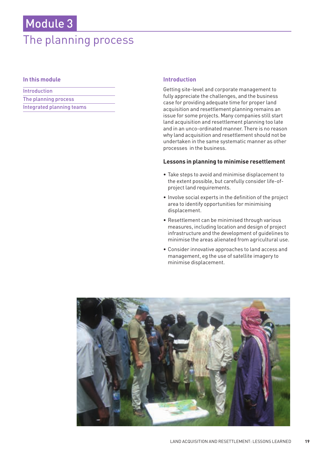<span id="page-18-0"></span>Module 3

## The planning process

#### **In this module**

**Introduction** 

[The planning process](#page-19-0)

[Integrated planning teams](#page-20-0)

#### **Introduction**

Getting site-level and corporate management to fully appreciate the challenges, and the business case for providing adequate time for proper land acquisition and resettlement planning remains an issue for some projects. Many companies still start land acquisition and resettlement planning too late and in an unco-ordinated manner. There is no reason why land acquisition and resettlement should not be undertaken in the same systematic manner as other processes in the business.

#### **Lessons in planning to minimise resettlement**

- Take steps to avoid and minimise displacement to the extent possible, but carefully consider life-ofproject land requirements.
- Involve social experts in the definition of the project area to identify opportunities for minimising displacement.
- Resettlement can be minimised through various measures, including location and design of project infrastructure and the development of guidelines to minimise the areas alienated from agricultural use.
- Consider innovative approaches to land access and management, eg the use of satellite imagery to minimise displacement.

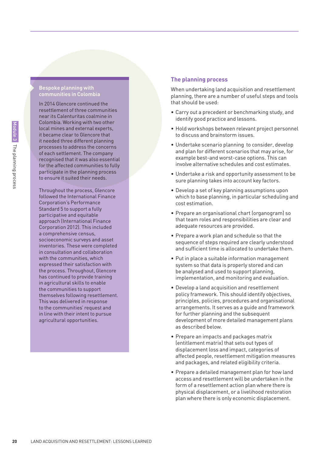#### <span id="page-19-0"></span>**Bespoke planning with communities in Colombia**

In 2014 Glencore continued the resettlement of three communities near its Calenturitas coalmine in Colombia. Working with two other local mines and external experts, it became clear to Glencore that it needed three different planning processes to address the concerns of each settlement. The company recognised that it was also essential for the affected communities to fully participate in the planning process to ensure it suited their needs.

Throughout the process, Glencore followed the International Finance Corporation's Performance Standard 5 to support a fully participative and equitable approach (International Finance Corporation 2012). This included a comprehensive census, socioeconomic surveys and asset inventories. These were completed in consultation and collaboration with the communities, which expressed their satisfaction with the process. Throughout, Glencore has continued to provide training in agricultural skills to enable the communities to support themselves following resettlement. This was delivered in response to the communities' request and in line with their intent to pursue agricultural opportunities.

### **The planning process**

When undertaking land acquisition and resettlement planning, there are a number of useful steps and tools that should be used: • Carry out a precedent or benchmarking study, and

- identify good practice and lessons.
- Hold workshops between relevant project personnel to discuss and brainstorm issues.
- Undertake scenario planning to consider, develop and plan for different scenarios that may arise, for example best-and worst-case options. This can involve alternative schedules and cost estimates.
- Undertake a risk and opportunity assessment to be sure planning takes into account key factors.
- Develop a set of key planning assumptions upon which to base planning, in particular scheduling and cost estimation.
- Prepare an organisational chart (organogram) so that team roles and responsibilities are clear and adequate resources are provided.
- Prepare a work plan and schedule so that the sequence of steps required are clearly understood and sufficient time is allocated to undertake them.
- Put in place a suitable information management system so that data is properly stored and can be analysed and used to support planning, implementation, and monitoring and evaluation.
- Develop a land acquisition and resettlement policy framework. This should identify objectives, principles, policies, procedures and organisational arrangements. It serves as a guide and framework for further planning and the subsequent development of more detailed management plans as described below.
- Prepare an impacts and packages matrix (entitlement matrix) that sets out types of displacement loss and impact, categories of affected people, resettlement mitigation measures and packages, and related eligibility criteria.
- Prepare a detailed management plan for how land access and resettlement will be undertaken in the form of a resettlement action plan where there is physical displacement, or a livelihood restoration plan where there is only economic displacement.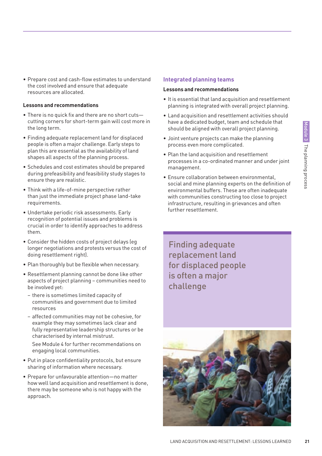<span id="page-20-0"></span>• Prepare cost and cash-flow estimates to understand the cost involved and ensure that adequate resources are allocated.

#### **Lessons and recommendations**

- There is no quick fix and there are no short cuts cutting corners for short-term gain will cost more in the long term.
- Finding adequate replacement land for displaced people is often a major challenge. Early steps to plan this are essential as the availability of land shapes all aspects of the planning process.
- Schedules and cost estimates should be prepared during prefeasibility and feasibility study stages to ensure they are realistic.
- Think with a life-of-mine perspective rather than just the immediate project phase land-take requirements.
- Undertake periodic risk assessments. Early recognition of potential issues and problems is crucial in order to identify approaches to address them.
- Consider the hidden costs of project delays (eg longer negotiations and protests versus the cost of doing resettlement right).
- Plan thoroughly but be flexible when necessary.
- Resettlement planning cannot be done like other aspects of project planning – communities need to be involved yet:
	- there is sometimes limited capacity of communities and government due to limited resources
	- affected communities may not be cohesive, for example they may sometimes lack clear and fully representative leadership structures or be characterised by internal mistrust.

See Module 4 for further recommendations on engaging local communities.

- Put in place confidentiality protocols, but ensure sharing of information where necessary.
- Prepare for unfavourable attention—no matter how well land acquisition and resettlement is done, there may be someone who is not happy with the approach.

#### **Integrated planning teams**

#### **Lessons and recommendations**

- It is essential that land acquisition and resettlement planning is integrated with overall project planning.
- Land acquisition and resettlement activities should have a dedicated budget, team and schedule that should be aligned with overall project planning.
- Joint venture projects can make the planning process even more complicated.
- Plan the land acquisition and resettlement processes in a co-ordinated manner and under joint management.
- Ensure collaboration between environmental, social and mine planning experts on the definition of environmental buffers. These are often inadequate with communities constructing too close to project infrastructure, resulting in grievances and often further resettlement.

Finding adequate replacement land for displaced people is often a major challenge

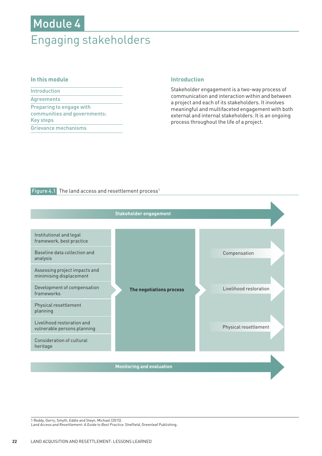<span id="page-21-0"></span>Module 4

## Engaging stakeholders

### **In this module**

Introduction **[Agreements](#page-24-0)** Preparing to engage with [communities and governments:](#page-25-0)  Key steps [Grievance mechanisms](#page-26-0)

#### **Introduction**

Stakeholder engagement is a two-way process of communication and interaction within and between a project and each of its stakeholders. It involves meaningful and multifaceted engagement with both external and internal stakeholders. It is an ongoing process throughout the life of a project.

#### Figure 4.1 The land access and resettlement process<sup>1</sup>



1 Reddy, Gerry, Smyth, Eddie and Steyn, Michael (2015). Land Access and Resettlement: A Guide to Best Practice. Sheffield, Greenleaf Publishing.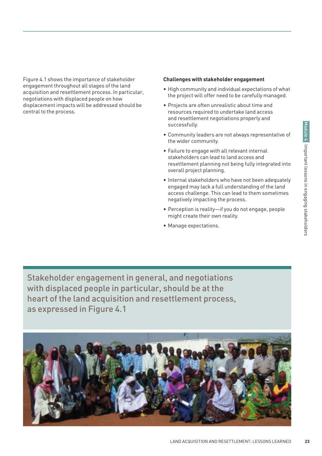Figure 4.1 shows the importance of stakeholder engagement throughout all stages of the land acquisition and resettlement process. In particular, negotiations with displaced people on how displacement impacts will be addressed should be central to the process.

#### **Challenges with stakeholder engagement**

- High community and individual expectations of what the project will offer need to be carefully managed.
- Projects are often unrealistic about time and resources required to undertake land access and resettlement negotiations properly and successfully.
- Community leaders are not always representative of the wider community.
- Failure to engage with all relevant internal stakeholders can lead to land access and resettlement planning not being fully integrated into overall project planning.
- Internal stakeholders who have not been adequately engaged may lack a full understanding of the land access challenge. This can lead to them sometimes negatively impacting the process.
- Perception is reality—if you do not engage, people might create their own reality.
- Manage expectations.

Stakeholder engagement in general, and negotiations with displaced people in particular, should be at the heart of the land acquisition and resettlement process, as expressed in Figure 4.1

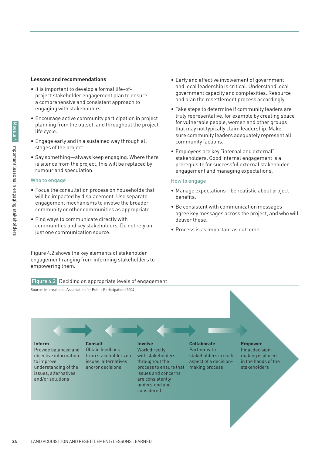#### **Lessons and recommendations**

- It is important to develop a formal life-ofproject stakeholder engagement plan to ensure a comprehensive and consistent approach to engaging with stakeholders.
- Encourage active community participation in project planning from the outset, and throughout the project life cycle.
- Engage early and in a sustained way through all stages of the project.
- Say something—always keep engaging. Where there is silence from the project, this will be replaced by rumour and speculation.

#### Who to engage

- Focus the consultation process on households that will be impacted by displacement. Use separate engagement mechanisms to involve the broader community or other communities as appropriate.
- Find ways to communicate directly with communities and key stakeholders. Do not rely on just one communication source.

Figure 4.2 shows the key elements of stakeholder engagement ranging from informing stakeholders to empowering them.

- Early and effective involvement of government and local leadership is critical. Understand local government capacity and complexities. Resource and plan the resettlement process accordingly.
- Take steps to determine if community leaders are truly representative, for example by creating space for vulnerable people, women and other groups that may not typically claim leadership. Make sure community leaders adequately represent all community factions.
- Employees are key "internal and external" stakeholders. Good internal engagement is a prerequisite for successful external stakeholder engagement and managing expectations.

#### How to engage

- Manage expectations—be realistic about project benefits.
- Be consistent with communication messages agree key messages across the project, and who will deliver these.
- Process is as important as outcome.

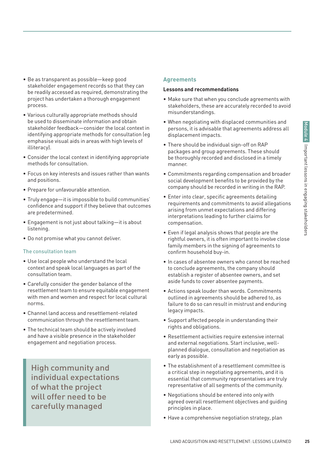- <span id="page-24-0"></span>• Be as transparent as possible—keep good stakeholder engagement records so that they can be readily accessed as required, demonstrating the project has undertaken a thorough engagement process.
- Various culturally appropriate methods should be used to disseminate information and obtain stakeholder feedback—consider the local context in identifying appropriate methods for consultation (eg emphasise visual aids in areas with high levels of illiteracy).
- Consider the local context in identifying appropriate methods for consultation.
- Focus on key interests and issues rather than wants and positions.
- Prepare for unfavourable attention.
- Truly engage—it is impossible to build communities' confidence and support if they believe that outcomes are predetermined.
- Engagement is not just about talking—it is about listening.
- Do not promise what you cannot deliver.

#### The consultation team

- Use local people who understand the local context and speak local languages as part of the consultation team.
- Carefully consider the gender balance of the resettlement team to ensure equitable engagement with men and women and respect for local cultural norms.
- Channel land access and resettlement-related communication through the resettlement team.
- The technical team should be actively involved and have a visible presence in the stakeholder engagement and negotiation process.

High community and individual expectations of what the project will offer need to be carefully managed

#### **Agreements**

- Make sure that when you conclude agreements with stakeholders, these are accurately recorded to avoid misunderstandings.
- When negotiating with displaced communities and persons, it is advisable that agreements address all displacement impacts.
- There should be individual sign-off on RAP packages and group agreements. These should be thoroughly recorded and disclosed in a timely manner.
- Commitments regarding compensation and broader social development benefits to be provided by the company should be recorded in writing in the RAP.
- When negotiating with displaced communities and<br>
lisplacement impacts.<br>
There should be individual sign-off on RAP<br>
There should be individual sign-off on RAP<br>
and the individual sign-off on RAP<br>
and the individual sign-of • Enter into clear, specific agreements detailing requirements and commitments to avoid allegations arising from unmet expectations and differing interpretations leading to further claims for compensation.
- Even if legal analysis shows that people are the rightful owners, it is often important to involve close family members in the signing of agreements to confirm household buy-in.
- In cases of absentee owners who cannot be reached to conclude agreements, the company should establish a register of absentee owners, and set aside funds to cover absentee payments.
- Actions speak louder than words. Commitments outlined in agreements should be adhered to, as failure to do so can result in mistrust and enduring legacy impacts.
- Support affected people in understanding their rights and obligations.
- Resettlement activities require extensive internal and external negotiations. Start inclusive, wellplanned dialogue, consultation and negotiation as early as possible.
- The establishment of a resettlement committee is a critical step in negotiating agreements, and it is essential that community representatives are truly representative of all segments of the community.
- Negotiations should be entered into only with agreed overall resettlement objectives and guiding principles in place.
- Have a comprehensive negotiation strategy, plan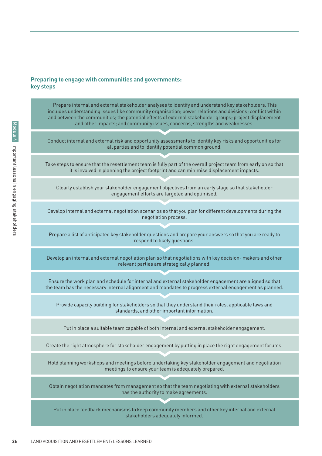### <span id="page-25-0"></span>**Preparing to engage with communities and governments: key steps**

 Prepare internal and external stakeholder analyses to identify and understand key stakeholders. This includes understanding issues like community organisation; power relations and divisions; conflict within and between the communities; the potential effects of external stakeholder groups; project displacement and other impacts; and community issues, concerns, strengths and weaknesses.

Conduct internal and external risk and opportunity assessments to identify key risks and opportunities for all parties and to identify potential common ground.

**26** 22<br> **26** LAND ACQUISITION AND RESETTLEMENT: LESSONS LEARNED<br>
26<br> **26** LAND ACCUISITION AND RESETTLEMENT:<br>
26 LAND ACQUISITION AND RESETTLEMENT:<br>
26 LAND ACQUISITION AND RESETTLEMENT:<br>
26 LAND ACQUISITION AND RESETTLEM Take steps to ensure that the resettlement team is fully part of the overall project team from early on so that it is involved in planning the project footprint and can minimise displacement impacts.

Clearly establish your stakeholder engagement objectives from an early stage so that stakeholder engagement efforts are targeted and optimised.

Develop internal and external negotiation scenarios so that you plan for different developments during the negotiation process.

Prepare a list of anticipated key stakeholder questions and prepare your answers so that you are ready to respond to likely questions.

Develop an internal and external negotiation plan so that negotiations with key decision- makers and other relevant parties are strategically planned.

Ensure the work plan and schedule for internal and external stakeholder engagement are aligned so that the team has the necessary internal alignment and mandates to progress external engagement as planned.

Provide capacity building for stakeholders so that they understand their roles, applicable laws and standards, and other important information.

Put in place a suitable team capable of both internal and external stakeholder engagement.

Create the right atmosphere for stakeholder engagement by putting in place the right engagement forums.

Hold planning workshops and meetings before undertaking key stakeholder engagement and negotiation meetings to ensure your team is adequately prepared.

Obtain negotiation mandates from management so that the team negotiating with external stakeholders has the authority to make agreements.

Put in place feedback mechanisms to keep community members and other key internal and external stakeholders adequately informed.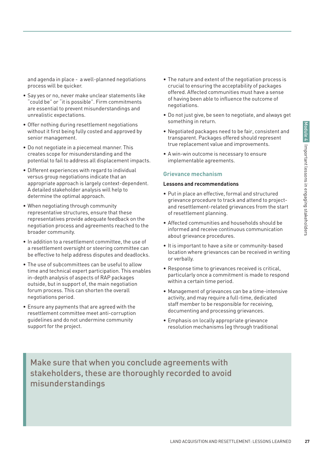<span id="page-26-0"></span>and agenda in place - a well-planned negotiations process will be quicker.

- Say yes or no, never make unclear statements like "could be" or "it is possible". Firm commitments are essential to prevent misunderstandings and unrealistic expectations.
- Offer nothing during resettlement negotiations without it first being fully costed and approved by senior management.
- Do not negotiate in a piecemeal manner. This creates scope for misunderstanding and the potential to fail to address all displacement impacts.
- Different experiences with regard to individual versus group negotiations indicate that an appropriate approach is largely context-dependent. A detailed stakeholder analysis will help to determine the optimal approach.
- When negotiating through community representative structures, ensure that these representatives provide adequate feedback on the negotiation process and agreements reached to the broader community.
- In addition to a resettlement committee, the use of a resettlement oversight or steering committee can be effective to help address disputes and deadlocks.
- The use of subcommittees can be useful to allow time and technical expert participation. This enables in-depth analysis of aspects of RAP packages outside, but in support of, the main negotiation forum process. This can shorten the overall negotiations period.
- Ensure any payments that are agreed with the resettlement committee meet anti-corruption guidelines and do not undermine community support for the project.
- The nature and extent of the negotiation process is crucial to ensuring the acceptability of packages offered. Affected communities must have a sense of having been able to influence the outcome of negotiations.
- Do not just give, be seen to negotiate, and always get something in return.
- Negotiated packages need to be fair, consistent and transparent. Packages offered should represent true replacement value and improvements.
- A win-win outcome is necessary to ensure implementable agreements.

## **Grievance mechanism**

### **Lessons and recommendations**

- Put in place an effective, formal and structured grievance procedure to track and attend to projectand resettlement-related grievances from the start of resettlement planning.
- Affected communities and households should be informed and receive continuous communication about grievance procedures.
- It is important to have a site or community-based location where grievances can be received in writing or verbally.
- Response time to grievances received is critical, particularly once a commitment is made to respond within a certain time period.
- Management of grievances can be a time-intensive activity, and may require a full-time, dedicated staff member to be responsible for receiving, documenting and processing grievances.
- Emphasis on locally appropriate grievance resolution mechanisms (eg through traditional

Make sure that when you conclude agreements with stakeholders, these are thoroughly recorded to avoid misunderstandings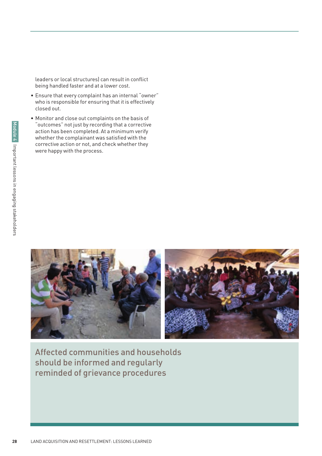leaders or local structures) can result in conflict being handled faster and at a lower cost.

- Ensure that every complaint has an internal "owner" who is responsible for ensuring that it is effectively closed out.
- Monitor and close out complaints on the basis of "outcomes" not just by recording that a corrective action has been completed. At a minimum verify whether the complainant was satisfied with the corrective action or not, and check whether they were happy with the process.



Affected communities and households should be informed and regularly reminded of grievance procedures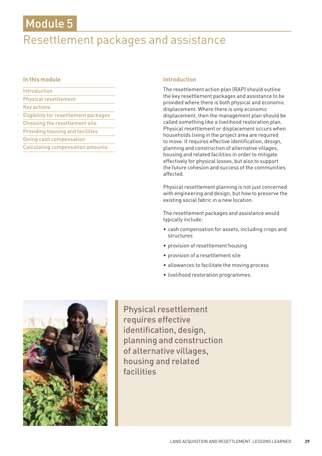## <span id="page-28-0"></span>Module 5

## Resettlement packages and assistance

### **In this module**

| Introduction                                 |  |
|----------------------------------------------|--|
| <b>Physical resettlement</b>                 |  |
| <b>Key actions</b>                           |  |
| <b>Eligibility for resettlement packages</b> |  |
| <b>Choosing the resettlement site</b>        |  |
| <b>Providing housing and facilities</b>      |  |
| <b>Giving cash compensation</b>              |  |
| <b>Calculating compensation amounts</b>      |  |

#### **Introduction**

The resettlement action plan (RAP) should outline the key resettlement packages and assistance to be provided where there is both physical and economic displacement. Where there is only economic displacement, then the management plan should be called something like a livelihood restoration plan. Physical resettlement or displacement occurs when households living in the project area are required to move. It requires effective identification, design, planning and construction of alternative villages, housing and related facilities in order to mitigate effectively for physical losses, but also to support the future cohesion and success of the communities affected.

Physical resettlement planning is not just concerned with engineering and design, but how to preserve the existing social fabric in a new location.

The resettlement packages and assistance would typically include:

- cash compensation for assets, including crops and structures
- provision of resettlement housing
- provision of a resettlement site
- allowances to facilitate the moving process
- livelihood restoration programmes.



Physical resettlement requires effective identification, design, planning and construction of alternative villages, housing and related facilities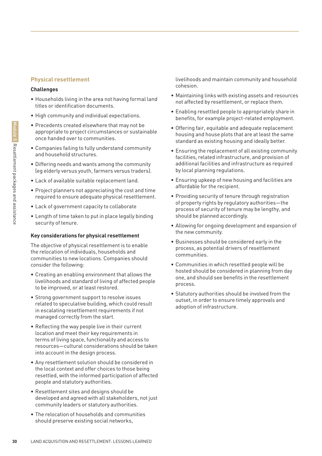#### <span id="page-29-0"></span>**Physical resettlement**

#### **Challenges**

- Households living in the area not having formal land titles or identification documents.
- High community and individual expectations.
- Precedents created elsewhere that may not be appropriate to project circumstances or sustainable once handed over to communities.
- Companies failing to fully understand community and household structures.
- Differing needs and wants among the community (eg elderly versus youth, farmers versus traders).
- Lack of available suitable replacement land.
- Project planners not appreciating the cost and time required to ensure adequate physical resettlement.
- Lack of government capacity to collaborate
- Length of time taken to put in place legally binding security of tenure.

#### **Key considerations for physical resettlement**

The objective of physical resettlement is to enable the relocation of individuals, households and communities to new locations. Companies should consider the following:

- Creating an enabling environment that allows the livelihoods and standard of living of affected people to be improved, or at least restored.
- Strong government support to resolve issues related to speculative building, which could result in escalating resettlement requirements if not managed correctly from the start.
- Reflecting the way people live in their current location and meet their key requirements in terms of living space, functionality and access to resources—cultural considerations should be taken into account in the design process.
- Any resettlement solution should be considered in the local context and offer choices to those being resettled, with the informed participation of affected people and statutory authorities.
- Resettlement sites and designs should be developed and agreed with all stakeholders, not just community leaders or statutory authorities.
- The relocation of households and communities should preserve existing social networks,

livelihoods and maintain community and household cohesion.

- Maintaining links with existing assets and resources not affected by resettlement, or replace them.
- Enabling resettled people to appropriately share in benefits, for example project-related employment.
- Offering fair, equitable and adequate replacement housing and house plots that are at least the same standard as existing housing and ideally better.
- Ensuring the replacement of all existing community facilities, related infrastructure, and provision of additional facilities and infrastructure as required by local planning regulations.
- Ensuring upkeep of new housing and facilities are affordable for the recipient.
- Providing security of tenure through registration of property rights by regulatory authorities—the process of security of tenure may be lengthy, and should be planned accordingly.
- Allowing for ongoing development and expansion of the new community.
- Businesses should be considered early in the process, as potential drivers of resettlement communities.
- Communities in which resettled people will be hosted should be considered in planning from day one, and should see benefits in the resettlement process.
- Statutory authorities should be involved from the outset, in order to ensure timely approvals and adoption of infrastructure.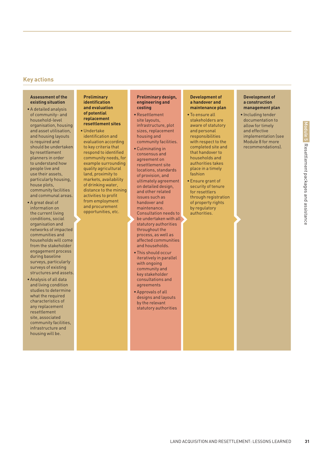#### <span id="page-30-0"></span>**Key actions**

#### **Assessment of the existing situation**

- •A detailed analysis of community- and household-level organisation, housing and asset utilisation, and housing layouts is required and should be undertaken by resettlement planners in order to understand how people live and use their assets, particularly housing, house plots, community facilities and communal areas.
- •A great deal of information on the current living conditions, social organisation and networks of impacted communities and households will come from the stakeholder engagement process during baseline surveys, particularly surveys of existing structures and assets.
- •Analysis of all data and living condition studies to determine what the required characteristics of any replacement resettlement site, associated community facilities, infrastructure and housing will be.

#### **Preliminary identification and evaluation of potential replacement resettlement sites**

•Undertake identification and evaluation according to key criteria that respond to identified community needs, for example surrounding quality agricultural land, proximity to markets, availability of drinking water, distance to the mining activities to profit from employment and procurement opportunities, etc.

#### **Preliminary design, engineering and costing**

- •Resettlement site layouts, infrastructure, plot sizes, replacement housing and community facilities.
- •Culminating in consensus and agreement on resettlement site locations, standards of provision, and ultimately agreement on detailed design, and other related issues such as handover and maintenance. Consultation needs to be undertaken with all statutory authorities throughout the process, as well as affected communities and households.
- This should occur iteratively in parallel with ongoing community and key stakeholder consultations and agreements
- •Approvals of all designs and layouts by the relevant statutory authorities

#### **Development of a handover and maintenance plan**

- d<br>
and personal<br>
mand personal<br>
mand personal<br>
mand personal<br>
mand personal<br>
mand personal<br>
was anothered to be a malermentations).<br>
We are the standard and assistance in the main of a<br>
mand assistance in the standard meth • To ensure all stakeholders are aware of statutory and personal responsibilities with respect to the completed site and that handover to households and authorities takes place in a timely fashion
	- Ensure grant of security of tenure for resettlers through registration of property rights by regulatory authorities.

#### **Development of a construction management plan**

• Including tender documentation to allow for timely and effective implementation (see Module 8 for more recommendations).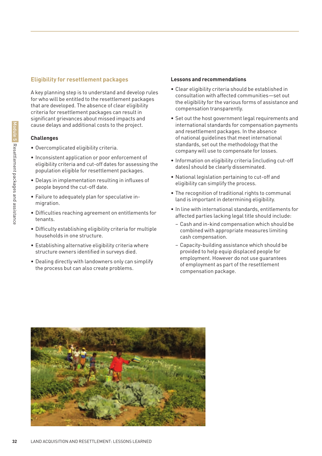### <span id="page-31-0"></span>**Eligibility for resettlement packages**

A key planning step is to understand and develop rules for who will be entitled to the resettlement packages that are developed. The absence of clear eligibility criteria for resettlement packages can result in significant grievances about missed impacts and cause delays and additional costs to the project.

#### **Challenges**

- Overcomplicated eligibility criteria.
- Inconsistent application or poor enforcement of eligibility criteria and cut-off dates for assessing the population eligible for resettlement packages.
- Delays in implementation resulting in influxes of people beyond the cut-off date.
- Failure to adequately plan for speculative inmigration.
- Difficulties reaching agreement on entitlements for tenants.
- Difficulty establishing eligibility criteria for multiple households in one structure.
- Establishing alternative eligibility criteria where structure owners identified in surveys died.
- Dealing directly with landowners only can simplify the process but can also create problems.

- Clear eligibility criteria should be established in consultation with affected communities—set out the eligibility for the various forms of assistance and compensation transparently.
- Set out the host government legal requirements and international standards for compensation payments and resettlement packages. In the absence of national guidelines that meet international standards, set out the methodology that the company will use to compensate for losses.
- Information on eligibility criteria (including cut-off dates) should be clearly disseminated.
- National legislation pertaining to cut-off and eligibility can simplify the process.
- The recognition of traditional rights to communal land is important in determining eligibility.
- In line with international standards, entitlements for affected parties lacking legal title should include:
	- Cash and in-kind compensation which should be combined with appropriate measures limiting cash compensation.
	- Capacity-building assistance which should be provided to help equip displaced people for employment. However do not use guarantees of employment as part of the resettlement compensation package.

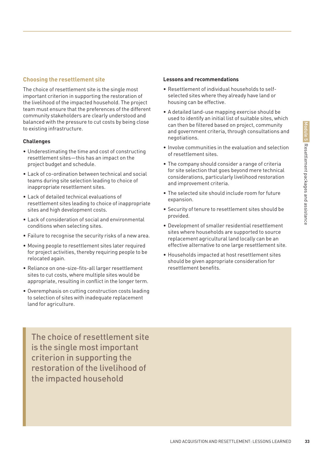## <span id="page-32-0"></span>**Choosing the resettlement site**

The choice of resettlement site is the single most important criterion in supporting the restoration of the livelihood of the impacted household. The project team must ensure that the preferences of the different community stakeholders are clearly understood and balanced with the pressure to cut costs by being close to existing infrastructure.

### **Challenges**

- Underestimating the time and cost of constructing resettlement sites—this has an impact on the project budget and schedule.
- Lack of co-ordination between technical and social teams during site selection leading to choice of inappropriate resettlement sites.
- Lack of detailed technical evaluations of resettlement sites leading to choice of inappropriate sites and high development costs.
- Lack of consideration of social and environmental conditions when selecting sites.
- Failure to recognise the security risks of a new area.
- Moving people to resettlement sites later required for project activities, thereby requiring people to be relocated again.
- Reliance on one-size-fits-all larger resettlement sites to cut costs, where multiple sites would be appropriate, resulting in conflict in the longer term.
- Overemphasis on cutting construction costs leading to selection of sites with inadequate replacement land for agriculture.

#### **Lessons and recommendations**

- Resettlement of individual households to selfselected sites where they already have land or housing can be effective.
- A detailed land-use mapping exercise should be used to identify an initial list of suitable sites, which can then be filtered based on project, community and government criteria, through consultations and negotiations.
- Involve communities in the evaluation and selection of resettlement sites.
- The filtered based on project, community<br>
and new Perfilteria, through consultations and<br>
regotations.<br>
Howeve communities in the evaluation and selection<br>
The settlement sites.<br>
The company should consider a range of crit • The company should consider a range of criteria for site selection that goes beyond mere technical considerations, particularly livelihood restoration and improvement criteria.
- The selected site should include room for future expansion.
- Security of tenure to resettlement sites should be provided.
- Development of smaller residential resettlement sites where households are supported to source replacement agricultural land locally can be an effective alternative to one large resettlement site.
- Households impacted at host resettlement sites should be given appropriate consideration for resettlement benefits.

The choice of resettlement site is the single most important criterion in supporting the restoration of the livelihood of the impacted household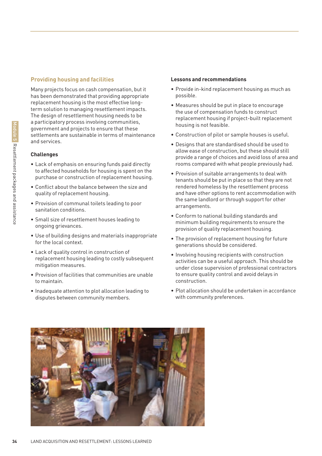## <span id="page-33-0"></span>**Providing housing and facilities**

Many projects focus on cash compensation, but it has been demonstrated that providing appropriate replacement housing is the most effective longterm solution to managing resettlement impacts. The design of resettlement housing needs to be a participatory process involving communities, government and projects to ensure that these settlements are sustainable in terms of maintenance and services.

### **Challenges**

- Lack of emphasis on ensuring funds paid directly to affected households for housing is spent on the purchase or construction of replacement housing.
- Conflict about the balance between the size and quality of replacement housing.
- Provision of communal toilets leading to poor sanitation conditions.
- Small size of resettlement houses leading to ongoing grievances.
- Use of building designs and materials inappropriate for the local context.
- Lack of quality control in construction of replacement housing leading to costly subsequent mitigation measures.
- Provision of facilities that communities are unable to maintain.
- Inadequate attention to plot allocation leading to disputes between community members.

- Provide in-kind replacement housing as much as possible.
- Measures should be put in place to encourage the use of compensation funds to construct replacement housing if project-built replacement housing is not feasible.
- Construction of pilot or sample houses is useful.
- Designs that are standardised should be used to allow ease of construction, but these should still provide a range of choices and avoid loss of area and rooms compared with what people previously had.
- Provision of suitable arrangements to deal with tenants should be put in place so that they are not rendered homeless by the resettlement process and have other options to rent accommodation with the same landlord or through support for other arrangements.
- Conform to national building standards and minimum building requirements to ensure the provision of quality replacement housing.
- The provision of replacement housing for future generations should be considered.
- Involving housing recipients with construction activities can be a useful approach. This should be under close supervision of professional contractors to ensure quality control and avoid delays in construction.
- Plot allocation should be undertaken in accordance with community preferences.

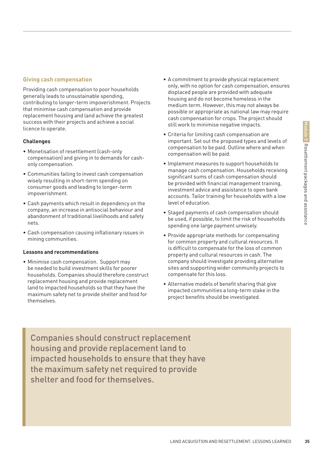## <span id="page-34-0"></span>**Giving cash compensation**

Providing cash compensation to poor households generally leads to unsustainable spending, contributing to longer-term impoverishment. Projects that minimise cash compensation and provide replacement housing and land achieve the greatest success with their projects and achieve a social licence to operate.

### **Challenges**

- Monetisation of resettlement (cash-only compensation) and giving in to demands for cashonly compensation.
- Communities failing to invest cash compensation wisely resulting in short-term spending on consumer goods and leading to longer-term impoverishment.
- Cash payments which result in dependency on the company, an increase in antisocial behaviour and abandonment of traditional livelihoods and safety nets.
- Cash compensation causing inflationary issues in mining communities.

#### **Lessons and recommendations**

• Minimise cash compensation. Support may be needed to build investment skills for poorer households. Companies should therefore construct replacement housing and provide replacement land to impacted households so that they have the maximum safety net to provide shelter and food for themselves.

- A commitment to provide physical replacement only, with no option for cash compensation, ensures displaced people are provided with adequate housing and do not become homeless in the medium term. However, this may not always be possible or appropriate as national law may require cash compensation for crops. The project should still work to minimise negative impacts.
- Criteria for limiting cash compensation are important. Set out the proposed types and levels of compensation to be paid. Outline where and when compensation will be paid.
- Itill work to minimise negative impacts.<br>
Exploration a can compensation are<br>
emportant. Set out the proposed types and levels of<br>
emportant to be paid. Outline where and when<br>
appropressition will be paid.<br>
Supposed to th • Implement measures to support households to manage cash compensation. Households receiving significant sums of cash compensation should be provided with financial management training, investment advice and assistance to open bank accounts. Tailor training for households with a low level of education.
- Staged payments of cash compensation should be used, if possible, to limit the risk of households spending one large payment unwisely.
- Provide appropriate methods for compensating for common property and cultural resources. It is difficult to compensate for the loss of common property and cultural resources in cash. The company should investigate providing alternative sites and supporting wider community projects to compensate for this loss.
- Alternative models of benefit sharing that give impacted communities a long-term stake in the project benefits should be investigated.

Companies should construct replacement housing and provide replacement land to impacted households to ensure that they have the maximum safety net required to provide shelter and food for themselves.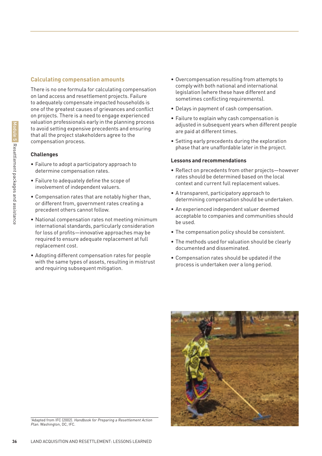### <span id="page-35-0"></span>**Calculating compensation amounts**

There is no one formula for calculating compensation on land access and resettlement projects. Failure to adequately compensate impacted households is one of the greatest causes of grievances and conflict on projects. There is a need to engage experienced valuation professionals early in the planning process to avoid setting expensive precedents and ensuring that all the project stakeholders agree to the compensation process.

#### **Challenges**

- Failure to adopt a participatory approach to determine compensation rates.
- Failure to adequately define the scope of involvement of independent valuers.
- Compensation rates that are notably higher than, or different from, government rates creating a precedent others cannot follow.
- **36** LAND ACQUISITION AND RESETTLEMENT: LESSONS LEARNED<br> **36** LAND ACQUISITION AND RESET AND PROPORTION CONDUCT THE CONDUCT CONDUCT CONDUCT CONDUCT CONDUCT CONDUCT CONDUCT CONDUCT CONDUCT CONDUCT CONDUCT CONDUCT CONDUCT CO • National compensation rates not meeting minimum international standards, particularly consideration for loss of profits—innovative approaches may be required to ensure adequate replacement at full replacement cost.
	- Adopting different compensation rates for people with the same types of assets, resulting in mistrust and requiring subsequent mitigation.
- Overcompensation resulting from attempts to comply with both national and international legislation (where these have different and sometimes conflicting requirements).
- Delays in payment of cash compensation.
- Failure to explain why cash compensation is adjusted in subsequent years when different people are paid at different times.
- Setting early precedents during the exploration phase that are unaffordable later in the project.

- Reflect on precedents from other projects—however rates should be determined based on the local context and current full replacement values.
- A transparent, participatory approach to determining compensation should be undertaken.
- An experienced independent valuer deemed acceptable to companies and communities should be used.
- The compensation policy should be consistent.
- The methods used for valuation should be clearly documented and disseminated.
- Compensation rates should be updated if the process is undertaken over a long period.

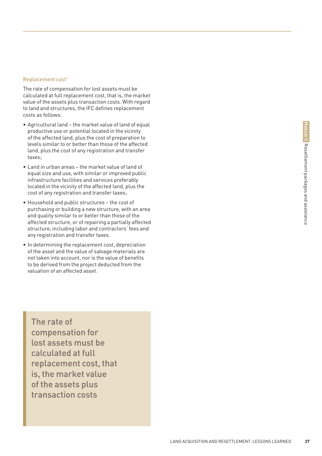#### Replacement cost **1**

The rate of compensation for lost assets must be calculated at full replacement cost, that is, the market value of the assets plus transaction costs. With regard to land and structures, the IFC defines replacement costs as follows:

- Agricultural land the market value of land of equal productive use or potential located in the vicinity of the affected land, plus the cost of preparation to levels similar to or better than those of the affected land, plus the cost of any registration and transfer taxes;
- Land in urban areas the market value of land of equal size and use, with similar or improved public infrastructure facilities and services preferably located in the vicinity of the affected land, plus the cost of any registration and transfer taxes;
- Household and public structures the cost of purchasing or building a new structure, with an area and quality similar to or better than those of the affected structure, or of repairing a partially affected structure, including labor and contractors' fees and any registration and transfer taxes.
- In determining the replacement cost, depreciation of the asset and the value of salvage materials are not taken into account, nor is the value of benefits to be derived from the project deducted from the valuation of an affected asset.

The rate of compensation for lost assets must be calculated at full replacement cost, that is, the market value of the assets plus transaction costs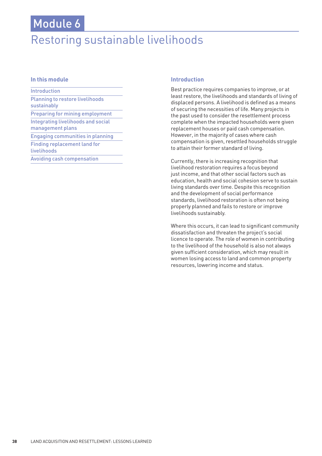## <span id="page-37-0"></span>Module 6

## Restoring sustainable livelihoods

### **In this module**

| Introduction                                           |
|--------------------------------------------------------|
| <b>Planning to restore livelihoods</b><br>sustainably  |
| <b>Preparing for mining employment</b>                 |
| Integrating livelihoods and social<br>management plans |
| <b>Engaging communities in planning</b>                |
| <b>Finding replacement land for</b><br>livelihoods     |
| <b>Avoiding cash compensation</b>                      |

### **Introduction**

Best practice requires companies to improve, or at least restore, the livelihoods and standards of living of displaced persons. A livelihood is defined as a means of securing the necessities of life. Many projects in the past used to consider the resettlement process complete when the impacted households were given replacement houses or paid cash compensation. However, in the majority of cases where cash compensation is given, resettled households struggle to attain their former standard of living.

Currently, there is increasing recognition that livelihood restoration requires a focus beyond just income, and that other social factors such as education, health and social cohesion serve to sustain living standards over time. Despite this recognition and the development of social performance standards, livelihood restoration is often not being properly planned and fails to restore or improve livelihoods sustainably.

Where this occurs, it can lead to significant community dissatisfaction and threaten the project's social licence to operate. The role of women in contributing to the livelihood of the household is also not always given sufficient consideration, which may result in women losing access to land and common property resources, lowering income and status.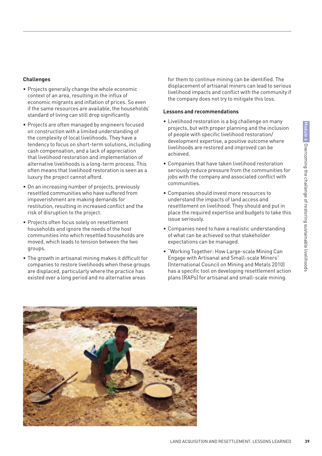### **Challenges**

- Projects generally change the whole economic context of an area, resulting in the influx of economic migrants and inflation of prices. So even if the same resources are available, the households' standard of living can still drop significantly.
- Projects are often managed by engineers focused on construction with a limited understanding of the complexity of local livelihoods. They have a tendency to focus on short-term solutions, including cash compensation, and a lack of appreciation that livelihood restoration and implementation of alternative livelihoods is a long-term process. This often means that livelihood restoration is seen as a luxury the project cannot afford.
- On an increasing number of projects, previously resettled communities who have suffered from impoverishment are making demands for restitution, resulting in increased conflict and the risk of disruption to the project.
- Projects often focus solely on resettlement households and ignore the needs of the host communities into which resettled households are moved, which leads to tension between the two groups.
- The growth in artisanal mining makes it difficult for companies to restore livelihoods when these groups are displaced, particularly where the practice has existed over a long period and no alternative areas

for them to continue mining can be identified. The displacement of artisanal miners can lead to serious livelihood impacts and conflict with the community if the company does not try to mitigate this loss.

- Livelihood restoration is a big challenge on many projects, but with proper planning and the inclusion of people with specific livelihood restoration/ development expertise, a positive outcome where livelihoods are restored and improved can be achieved.
- Companies that have taken livelihood restoration seriously reduce pressure from the communities for jobs with the company and associated conflict with communities.
- Companies should invest more resources to understand the impacts of land access and resettlement on livelihood. They should and put in place the required expertise and budgets to take this issue seriously.
- Companies need to have a realistic understanding of what can be achieved so that stakeholder expectations can be managed.
- "Working Together: How Large-scale Mining Can Engage with Artisanal and Small-scale Miners" (International Council on Mining and Metals 2010) has a specific tool on developing resettlement action plans (RAPs) for artisanal and small-scale mining.



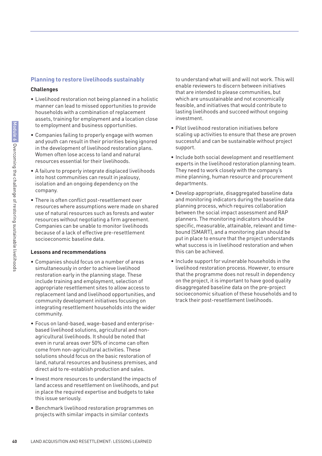#### <span id="page-39-0"></span>**Planning to restore livelihoods sustainably**

#### **Challenges**

- Livelihood restoration not being planned in a holistic manner can lead to missed opportunities to provide households with a combination of replacement assets, training for employment and a location close to employment and business opportunities.
- Companies failing to properly engage with women and youth can result in their priorities being ignored in the development of livelihood restoration plans. Women often lose access to land and natural resources essential for their livelihoods.
- A failure to properly integrate displaced livelihoods into host communities can result in jealousy, isolation and an ongoing dependency on the company.
- There is often conflict post-resettlement over resources where assumptions were made on shared use of natural resources such as forests and water resources without negotiating a firm agreement. Companies can be unable to monitor livelihoods because of a lack of effective pre-resettlement socioeconomic baseline data.

#### **Lessons and recommendations**

- Companies should focus on a number of areas simultaneously in order to achieve livelihood restoration early in the planning stage. These include training and employment, selection of appropriate resettlement sites to allow access to replacement land and livelihood opportunities, and community development initiatives focusing on integrating resettlement households into the wider community.
- Focus on land-based, wage-based and enterprisebased livelihood solutions, agricultural and nonagricultural livelihoods. It should be noted that even in rural areas over 50% of income can often come from non-agricultural activities. These solutions should focus on the basic restoration of land, natural resources and business premises, and direct aid to re-establish production and sales.
- Invest more resources to understand the impacts of land access and resettlement on livelihoods, and put in place the required expertise and budgets to take this issue seriously.
- Benchmark livelihood restoration programmes on projects with similar impacts in similar contexts

to understand what will and will not work. This will enable reviewers to discern between initiatives that are intended to please communities, but which are unsustainable and not economically feasible, and initiatives that would contribute to lasting livelihoods and succeed without ongoing investment.

- Pilot livelihood restoration initiatives before scaling up activities to ensure that these are proven successful and can be sustainable without project support.
- Include both social development and resettlement experts in the livelihood restoration planning team. They need to work closely with the company's mine planning, human resource and procurement departments.
- Develop appropriate, disaggregated baseline data and monitoring indicators during the baseline data planning process, which requires collaboration between the social impact assessment and RAP planners. The monitoring indicators should be specific, measurable, attainable, relevant and timebound (SMART), and a monitoring plan should be put in place to ensure that the project understands what success is in livelihood restoration and when this can be achieved.
- Include support for vulnerable households in the livelihood restoration process. However, to ensure that the programme does not result in dependency on the project, it is important to have good quality disaggregated baseline data on the pre-project socioeconomic situation of these households and to track their post-resettlement livelihoods.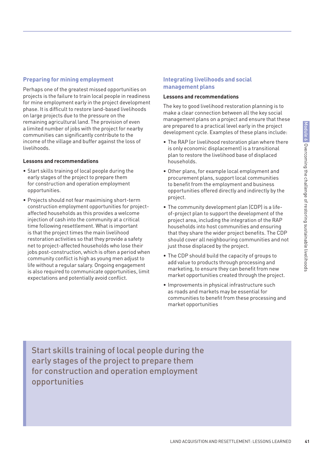## <span id="page-40-0"></span>**Preparing for mining employment**

Perhaps one of the greatest missed opportunities on projects is the failure to train local people in readiness for mine employment early in the project development phase. It is difficult to restore land-based livelihoods on large projects due to the pressure on the remaining agricultural land. The provision of even a limited number of jobs with the project for nearby communities can significantly contribute to the income of the village and buffer against the loss of livelihoods.

## **Lessons and recommendations**

- Start skills training of local people during the early stages of the project to prepare them for construction and operation employment opportunities.
- Projects should not fear maximising short-term construction employment opportunities for projectaffected households as this provides a welcome injection of cash into the community at a critical time following resettlement. What is important is that the project times the main livelihood restoration activities so that they provide a safety net to project-affected households who lose their jobs post-construction, which is often a period when community conflict is high as young men adjust to life without a regular salary. Ongoing engagement is also required to communicate opportunities, limit expectations and potentially avoid conflict.

## **Integrating livelihoods and social management plans**

#### **Lessons and recommendations**

The key to good livelihood restoration planning is to make a clear connection between all the key social management plans on a project and ensure that these are prepared to a practical level early in the project development cycle. Examples of these plans include:

- The RAP (or livelihood restoration plan where there is only economic displacement) is a transitional plan to restore the livelihood base of displaced households.
- Other plans, for example local employment and procurement plans, support local communities to benefit from the employment and business opportunities offered directly and indirectly by the project.
- The community development plan (CDP) is a lifeof-project plan to support the development of the project area, including the integration of the RAP households into host communities and ensuring that they share the wider project benefits. The CDP should cover all neighbouring communities and not just those displaced by the project.
- The CDP should build the capacity of groups to add value to products through processing and marketing, to ensure they can benefit from new market opportunities created through the project.
- Improvements in physical infrastructure such as roads and markets may be essential for communities to benefit from these processing and market opportunities

Start skills training of local people during the early stages of the project to prepare them for construction and operation employment opportunities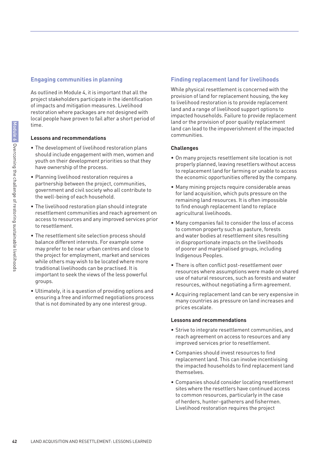## <span id="page-41-0"></span>**Engaging communities in planning**

As outlined in Module 4, it is important that all the project stakeholders participate in the identification of impacts and mitigation measures. Livelihood restoration where packages are not designed with local people have proven to fail after a short period of time.

#### **Lessons and recommendations**

- The development of livelihood restoration plans should include engagement with men, women and youth on their development priorities so that they have ownership of the process.
- Planning livelihood restoration requires a partnership between the project, communities, government and civil society who all contribute to the well-being of each household.
- The livelihood restoration plan should integrate resettlement communities and reach agreement on access to resources and any improved services prior to resettlement.
- The resettlement site selection process should balance different interests. For example some may prefer to be near urban centres and close to the project for employment, market and services while others may wish to be located where more traditional livelihoods can be practised. It is important to seek the views of the less powerful groups.
- Ultimately, it is a question of providing options and ensuring a free and informed negotiations process that is not dominated by any one interest group.

## **Finding replacement land for livelihoods**

While physical resettlement is concerned with the provision of land for replacement housing, the key to livelihood restoration is to provide replacement land and a range of livelihood support options to impacted households. Failure to provide replacement land or the provision of poor quality replacement land can lead to the impoverishment of the impacted communities.

#### **Challenges**

- On many projects resettlement site location is not properly planned, leaving resettlers without access to replacement land for farming or unable to access the economic opportunities offered by the company.
- Many mining projects require considerable areas for land acquisition, which puts pressure on the remaining land resources. It is often impossible to find enough replacement land to replace agricultural livelihoods.
- Many companies fail to consider the loss of access to common property such as pasture, forests and water bodies at resettlement sites resulting in disproportionate impacts on the livelihoods of poorer and marginalised groups, including Indigenous Peoples.
- There is often conflict post-resettlement over resources where assumptions were made on shared use of natural resources, such as forests and water resources, without negotiating a firm agreement.
- Acquiring replacement land can be very expensive in many countries as pressure on land increases and prices escalate.

- Strive to integrate resettlement communities, and reach agreement on access to resources and any improved services prior to resettlement.
- Companies should invest resources to find replacement land. This can involve incentivising the impacted households to find replacement land themselves.
- Companies should consider locating resettlement sites where the resettlers have continued access to common resources, particularly in the case of herders, hunter-gatherers and fishermen. Livelihood restoration requires the project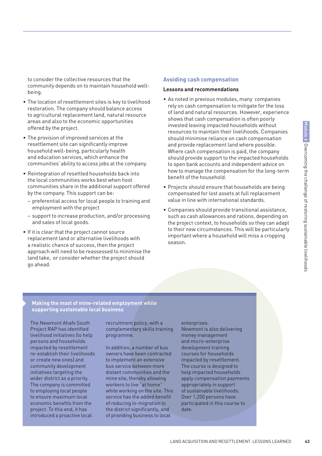<span id="page-42-0"></span>to consider the collective resources that the community depends on to maintain household wellbeing.

- The location of resettlement sites is key to livelihood restoration. The company should balance access to agricultural replacement land, natural resource areas and also to the economic opportunities offered by the project.
- The provision of improved services at the resettlement site can significantly improve household well-being, particularly health and education services, which enhance the communities' ability to access jobs at the company.
- Reintegration of resettled households back into the local communities works best when host communities share in the additional support offered by the company. This support can be:
	- preferential access for local people to training and employment with the project
	- support to increase production, and/or processing and sales of local goods.
- If it is clear that the project cannot source replacement land or alternative livelihoods with a realistic chance of success, then the project approach will need to be reassessed to minimise the land take, or consider whether the project should go ahead.

#### **Avoiding cash compensation**

#### **Lessons and recommendations**

- As noted in previous modules, many companies rely on cash compensation to mitigate for the loss of land and natural resources. However, experience shows that cash compensation is often poorly invested leaving impacted households without resources to maintain their livelihoods. Companies should minimise reliance on cash compensation and provide replacement land where possible. Where cash compensation is paid, the company should provide support to the impacted households to open bank accounts and independent advice on how to manage the compensation for the long-term benefit of the household.
- Projects should ensure that households are being compensated for lost assets at full replacement value in line with international standards.
- Companies should provide transitional assistance, such as cash allowances and rations, depending on the project context, to households so they can adapt to their new circumstances. This will be particularly important where a household will miss a cropping season.

#### **Making the most of mine-related employment while supporting sustainable local business**

The Newmont Ahafo South Project RAP has identified livelihood initiatives (to help persons and households impacted by resettlement re-establish their livelihoods or create new ones) and community development initiatives targeting the wider district as a priority. The company is committed to employing local people to ensure maximum local economic benefits from the project. To this end, it has introduced a proactive local

recruitment policy, with a complementary skills training programme.

In addition, a number of bus owners have been contracted to implement an extensive bus service between more distant communities and the mine site, thereby allowing workers to live "at home" while working on the site. This service has the added benefit of reducing in-migration to the district significantly, and of providing business to local

enterprises.

Newmont is also delivering money management and micro-enterprise development training courses for households impacted by resettlement. The course is designed to help impacted households apply compensation payments appropriately in support of sustainable livelihoods. Over 1,200 persons have participated in this course to date.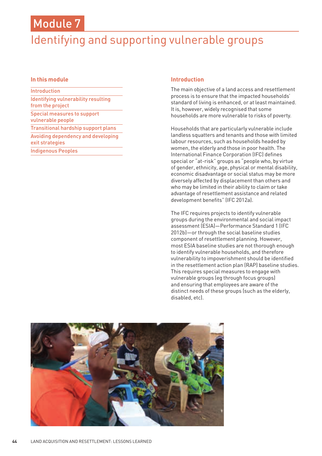## <span id="page-43-0"></span>Module 7

## Identifying and supporting vulnerable groups

## **In this module**

| Introduction                                            |
|---------------------------------------------------------|
| Identifying vulnerability resulting<br>from the project |
| <b>Special measures to support</b><br>vulnerable people |
| <b>Transitional hardship support plans</b>              |
| Avoiding dependency and developing<br>exit strategies   |
| <b>Indigenous Peoples</b>                               |

## **Introduction**

The main objective of a land access and resettlement process is to ensure that the impacted households' standard of living is enhanced, or at least maintained. It is, however, widely recognised that some households are more vulnerable to risks of poverty.

Households that are particularly vulnerable include landless squatters and tenants and those with limited labour resources, such as households headed by women, the elderly and those in poor health. The International Finance Corporation (IFC) defines special or "at-risk" groups as "people who, by virtue of gender, ethnicity, age, physical or mental disability, economic disadvantage or social status may be more diversely affected by displacement than others and who may be limited in their ability to claim or take advantage of resettlement assistance and related development benefits" (IFC 2012a).

The IFC requires projects to identify vulnerable groups during the environmental and social impact assessment (ESIA)—Performance Standard 1 (IFC 2012b)—or through the social baseline studies component of resettlement planning. However, most ESIA baseline studies are not thorough enough to identify vulnerable households, and therefore vulnerability to impoverishment should be identified in the resettlement action plan (RAP) baseline studies. This requires special measures to engage with vulnerable groups (eg through focus groups) and ensuring that employees are aware of the distinct needs of these groups (such as the elderly, disabled, etc).

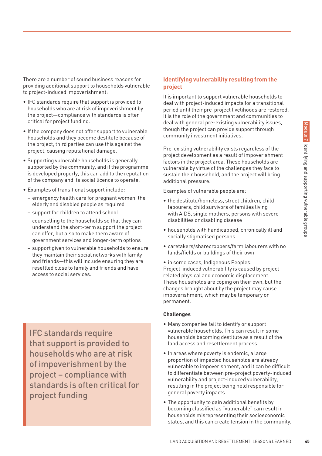<span id="page-44-0"></span>There are a number of sound business reasons for providing additional support to households vulnerable to project-induced impoverishment:

- IFC standards require that support is provided to households who are at risk of impoverishment by the project—compliance with standards is often critical for project funding.
- If the company does not offer support to vulnerable households and they become destitute because of the project, third parties can use this against the project, causing reputational damage.
- Supporting vulnerable households is generally supported by the community, and if the programme is developed properly, this can add to the reputation of the company and its social licence to operate.
- Examples of transitional support include:
	- emergency health care for pregnant women, the elderly and disabled people as required
	- support for children to attend school
	- counselling to the households so that they can understand the short-term support the project can offer, but also to make them aware of government services and longer-term options
	- support given to vulnerable households to ensure they maintain their social networks with family and friends—this will include ensuring they are resettled close to family and friends and have access to social services.

IFC standards require that support is provided to households who are at risk of impoverishment by the project – compliance with standards is often critical for project funding

## **Identifying vulnerability resulting from the project**

It is important to support vulnerable households to deal with project-induced impacts for a transitional period until their pre-project livelihoods are restored. It is the role of the government and communities to deal with general pre-existing vulnerability issues, though the project can provide support through community investment initiatives.

Pre-existing vulnerability exists regardless of the project development as a result of impoverishment factors in the project area. These households are vulnerable by virtue of the challenges they face to sustain their household, and the project will bring additional pressure.

Examples of vulnerable people are:

- the destitute/homeless, street children, child labourers, child survivors of families living with AIDS, single mothers, persons with severe disabilities or disabling disease
- households with handicapped, chronically ill and socially stigmatised persons
- caretakers/sharecroppers/farm labourers with no lands/fields or buildings of their own
- in some cases, Indigenous Peoples. Project-induced vulnerability is caused by projectrelated physical and economic displacement. These households are coping on their own, but the changes brought about by the project may cause impoverishment, which may be temporary or permanent.

#### **Challenges**

- Many companies fail to identify or support vulnerable households. This can result in some households becoming destitute as a result of the land access and resettlement process.
- If with general pre-existing vulnerability issues,<br>
exploiting product an provide support through<br>
annumity investment initiatives.<br>  $\frac{3}{2}$ -existing vulnerability exists regardless of the<br>
piect development as a result • In areas where poverty is endemic, a large proportion of impacted households are already vulnerable to impoverishment, and it can be difficult to differentiate between pre-project poverty-induced vulnerability and project-induced vulnerability, resulting in the project being held responsible for general poverty impacts.
- The opportunity to gain additional benefits by becoming classified as "vulnerable" can result in households misrepresenting their socioeconomic status, and this can create tension in the community.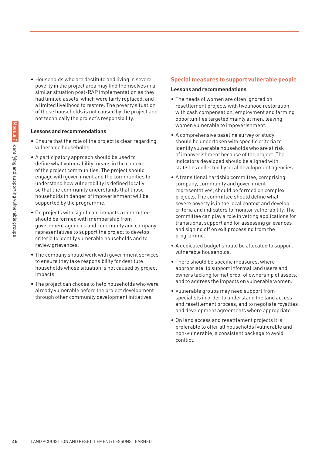<span id="page-45-0"></span>• Households who are destitute and living in severe poverty in the project area may find themselves in a similar situation post-RAP implementation as they had limited assets, which were fairly replaced, and a limited livelihood to restore. The poverty situation of these households is not caused by the project and not technically the project's responsibility.

#### **Lessons and recommendations**

- Ensure that the role of the project is clear regarding vulnerable households.
- A participatory approach should be used to define what vulnerability means in the context of the project communities. The project should engage with government and the communities to understand how vulnerability is defined locally, so that the community understands that those households in danger of impoverishment will be supported by the programme.
- On projects with significant impacts a committee should be formed with membership from government agencies and community and company representatives to support the project to develop criteria to identify vulnerable households and to review grievances.
- The company should work with government services to ensure they take responsibility for destitute households whose situation is not caused by project impacts.
- The project can choose to help households who were already vulnerable before the project development through other community development initiatives.

#### **Special measures to support vulnerable people**

- The needs of women are often ignored on resettlement projects with livelihood restoration, with cash compensation, employment and farming opportunities targeted mainly at men, leaving women vulnerable to impoverishment.
- A comprehensive baseline survey or study should be undertaken with specific criteria to identify vulnerable households who are at risk of impoverishment because of the project. The indicators developed should be aligned with statistics collected by local development agencies.
- A transitional hardship committee, comprising company, community and government representatives, should be formed on complex projects. The committee should define what severe poverty is in the local context and develop criteria and indicators to monitor vulnerability. The committee can play a role in vetting applications for transitional support and for assessing grievances and signing off on exit processing from the programme.
- A dedicated budget should be allocated to support vulnerable households.
- There should be specific measures, where appropriate, to support informal land users and owners lacking formal proof of ownership of assets, and to address the impacts on vulnerable women.
- Vulnerable groups may need support from specialists in order to understand the land access and resettlement process, and to negotiate royalties and development agreements where appropriate.
- On land access and resettlement projects it is preferable to offer all households (vulnerable and non-vulnerable) a consistent package to avoid conflict.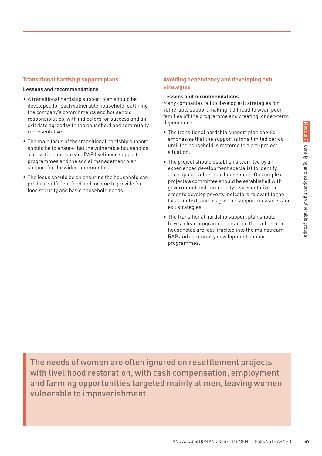## <span id="page-46-0"></span>**Transitional hardship support plans**

#### **Lessons and recommendations**

- A transitional hardship support plan should be developed for each vulnerable household, outlining the company's commitments and household responsibilities, with indicators for success and an exit date agreed with the household and community representative.
- The main focus of the transitional hardship support should be to ensure that the vulnerable households access the mainstream RAP livelihood support programmes and the social management plan support for the wider communities.
- The focus should be on ensuring the household can produce sufficient food and income to provide for food security and basic household needs.

## **Avoiding dependency and developing exit strategies**

#### **Lessons and recommendations**

Many companies fail to develop exit strategies for vulnerable support making it difficult to wean poor families off the programme and creating longer-term dependence:

- The transitional hardship support plan should emphasise that the support is for a limited period until the household is restored to a pre-project situation.
- The project should establish a team led by an experienced development specialist to identify and support vulnerable households. On complex projects a committee should be established with government and community representatives in order to develop poverty indicators relevant to the local context, and to agree on support measures and exit strategies.
- The transitional hardship support plan should have a clear programme ensuring that vulnerable households are fast-tracked into the mainstream RAP and community development support programmes.

The needs of women are often ignored on resettlement projects with livelihood restoration, with cash compensation, employment and farming opportunities targeted mainly at men, leaving women vulnerable to impoverishment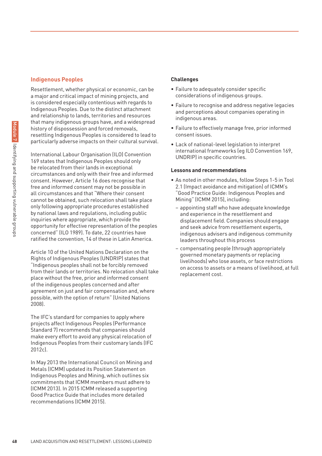## <span id="page-47-0"></span>**Indigenous Peoples**

Resettlement, whether physical or economic, can be a major and critical impact of mining projects, and is considered especially contentious with regards to Indigenous Peoples. Due to the distinct attachment and relationship to lands, territories and resources that many indigenous groups have, and a widespread history of dispossession and forced removals, resettling Indigenous Peoples is considered to lead to particularly adverse impacts on their cultural survival.

International Labour Organisation (ILO) Convention 169 states that Indigenous Peoples should only be relocated from their lands in exceptional circumstances and only with their free and informed consent. However, Article 16 does recognise that free and informed consent may not be possible in all circumstances and that "Where their consent cannot be obtained, such relocation shall take place only following appropriate procedures established by national laws and regulations, including public inquiries where appropriate, which provide the opportunity for effective representation of the peoples concerned" (ILO 1989). To date, 22 countries have ratified the convention, 14 of these in Latin America.

Article 10 of the United Nations Declaration on the Rights of Indigenous Peoples (UNDRIP) states that "Indigenous peoples shall not be forcibly removed from their lands or territories. No relocation shall take place without the free, prior and informed consent of the indigenous peoples concerned and after agreement on just and fair compensation and, where possible, with the option of return" (United Nations 2008).

The IFC's standard for companies to apply where projects affect Indigenous Peoples (Performance Standard 7) recommends that companies should make every effort to avoid any physical relocation of Indigenous Peoples from their customary lands (IFC 2012c).

In May 2013 the International Council on Mining and Metals (ICMM) updated its Position Statement on Indigenous Peoples and Mining, which outlines six commitments that ICMM members must adhere to (ICMM 2013). In 2015 ICMM released a supporting Good Practice Guide that includes more detailed recommendations (ICMM 2015).

#### **Challenges**

- Failure to adequately consider specific considerations of indigenous groups.
- Failure to recognise and address negative legacies and perceptions about companies operating in indigenous areas.
- Failure to effectively manage free, prior informed consent issues.
- Lack of national-level legislation to interpret international frameworks (eg ILO Convention 169, UNDRIP) in specific countries.

- As noted in other modules, follow Steps 1-5 in Tool 2.1 (Impact avoidance and mitigation) of ICMM's "Good Practice Guide: Indigenous Peoples and Mining" (ICMM 2015), including:
	- appointing staff who have adequate knowledge and experience in the resettlement and displacement field. Companies should engage and seek advice from resettlement experts, indigenous advisers and indigenous community leaders throughout this process
	- compensating people (through appropriately governed monetary payments or replacing livelihoods) who lose assets, or face restrictions on access to assets or a means of livelihood, at full replacement cost.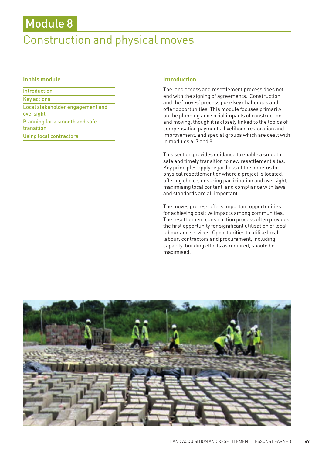## <span id="page-48-0"></span>Module 8

## Construction and physical moves

### **In this module**

| <b>Introduction</b>                                 |
|-----------------------------------------------------|
| <b>Key actions</b>                                  |
| Local stakeholder engagement and<br>oversight       |
| <b>Planning for a smooth and safe</b><br>transition |
| Using local contractors                             |

#### **Introduction**

The land access and resettlement process does not end with the signing of agreements. Construction and the 'moves' process pose key challenges and offer opportunities. This module focuses primarily on the planning and social impacts of construction and moving, though it is closely linked to the topics of compensation payments, livelihood restoration and improvement, and special groups which are dealt with in modules 6, 7 and 8.

This section provides guidance to enable a smooth, safe and timely transition to new resettlement sites. Key principles apply regardless of the impetus for physical resettlement or where a project is located: offering choice, ensuring participation and oversight, maximising local content, and compliance with laws and standards are all important.

The moves process offers important opportunities for achieving positive impacts among communities. The resettlement construction process often provides the first opportunity for significant utilisation of local labour and services. Opportunities to utilise local labour, contractors and procurement, including capacity-building efforts as required, should be maximised.

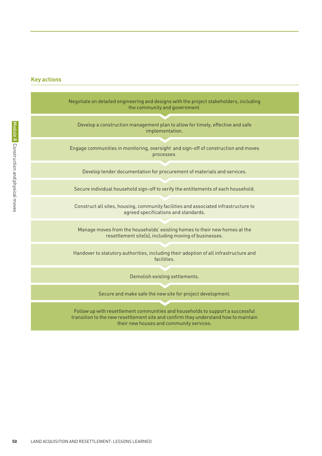#### <span id="page-49-0"></span>**Key actions**

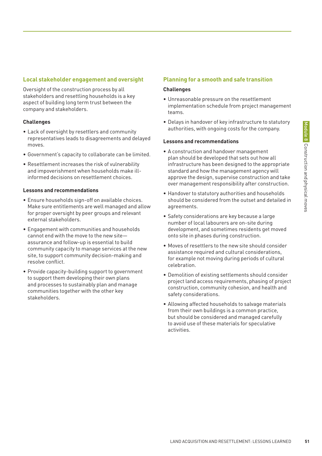## <span id="page-50-0"></span>**Local stakeholder engagement and oversight**

Oversight of the construction process by all stakeholders and resettling households is a key aspect of building long term trust between the company and stakeholders.

## **Challenges**

- Lack of oversight by resettlers and community representatives leads to disagreements and delayed moves.
- Government's capacity to collaborate can be limited.
- Resettlement increases the risk of vulnerability and impoverishment when households make illinformed decisions on resettlement choices.

## **Lessons and recommendations**

- Ensure households sign-off on available choices. Make sure entitlements are well managed and allow for proper oversight by peer groups and relevant external stakeholders.
- Engagement with communities and households cannot end with the move to the new site assurance and follow-up is essential to build community capacity to manage services at the new site, to support community decision-making and resolve conflict.
- Provide capacity-building support to government to support them developing their own plans and processes to sustainably plan and manage communities together with the other key stakeholders.

## **Planning for a smooth and safe transition**

## **Challenges**

- Unreasonable pressure on the resettlement implementation schedule from project management teams.
- Delays in handover of key infrastructure to statutory authorities, with ongoing costs for the company.

- Delays in handover of key infrastructure to statuce)<br>
utthorities, with ongoing costs for the company.<br> **SSONS and recommendations**<br>
Loconstruction and handover management<br>
are construction and handover management agency w • A construction and handover management plan should be developed that sets out how all infrastructure has been designed to the appropriate standard and how the management agency will approve the design, supervise construction and take over management responsibility after construction.
- Handover to statutory authorities and households should be considered from the outset and detailed in agreements.
- Safety considerations are key because a large number of local labourers are on-site during development, and sometimes residents get moved onto site in phases during construction.
- Moves of resettlers to the new site should consider assistance required and cultural considerations, for example not moving during periods of cultural celebration.
- Demolition of existing settlements should consider project land access requirements, phasing of project construction, community cohesion, and health and safety considerations.
- Allowing affected households to salvage materials from their own buildings is a common practice, but should be considered and managed carefully to avoid use of these materials for speculative activities.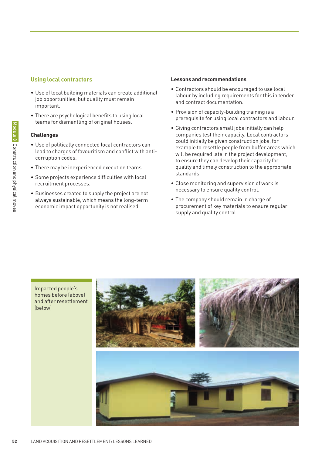### <span id="page-51-0"></span>**Using local contractors**

- Use of local building materials can create additional job opportunities, but quality must remain important.
- There are psychological benefits to using local teams for dismantling of original houses.

#### **Challenges**

- Use of politically connected local contractors can lead to charges of favouritism and conflict with anticorruption codes.
- There may be inexperienced execution teams.
- Some projects experience difficulties with local recruitment processes.
- Businesses created to supply the project are not always sustainable, which means the long-term economic impact opportunity is not realised.

#### **Lessons and recommendations**

- Contractors should be encouraged to use local labour by including requirements for this in tender and contract documentation.
- Provision of capacity-building training is a prerequisite for using local contractors and labour.
- Giving contractors small jobs initially can help companies test their capacity. Local contractors could initially be given construction jobs, for example to resettle people from buffer areas which will be required late in the project development, to ensure they can develop their capacity for quality and timely construction to the appropriate standards.
- Close monitoring and supervision of work is necessary to ensure quality control.
- The company should remain in charge of procurement of key materials to ensure regular supply and quality control.

Impacted people's homes before (above) and after resettlement (below)

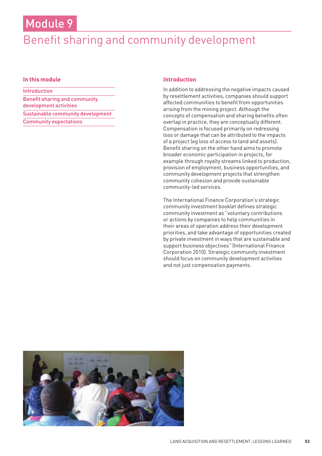## <span id="page-52-0"></span>Module 9

## Benefit sharing and community development

#### **In this module**

| <b>Introduction</b>                                            |
|----------------------------------------------------------------|
| <b>Benefit sharing and community</b><br>development activities |
| <b>Sustainable community development</b>                       |
| <b>Community expectations</b>                                  |

#### **Introduction**

In addition to addressing the negative impacts caused by resettlement activities, companies should support affected communities to benefit from opportunities arising from the mining project. Although the concepts of compensation and sharing benefits often overlap in practice, they are conceptually different. Compensation is focused primarily on redressing loss or damage that can be attributed to the impacts of a project (eg loss of access to land and assets). Benefit sharing on the other hand aims to promote broader economic participation in projects, for example through royalty streams linked to production, provision of employment, business opportunities, and community development projects that strengthen community cohesion and provide sustainable community-led services.

The International Finance Corporation's strategic community investment booklet defines strategic community investment as "voluntary contributions or actions by companies to help communities in their areas of operation address their development priorities, and take advantage of opportunities created by private investment in ways that are sustainable and support business objectives" (International Finance Corporation 2010). Strategic community investment should focus on community development activities and not just compensation payments.

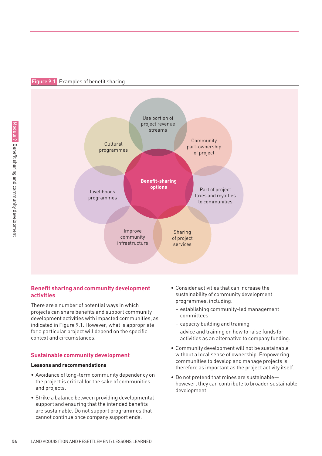<span id="page-53-0"></span>Figure 9.1 Examples of benefit sharing



## **Benefit sharing and community development activities**

There are a number of potential ways in which projects can share benefits and support community development activities with impacted communities, as indicated in Figure 9.1. However, what is appropriate for a particular project will depend on the specific context and circumstances.

## **Sustainable community development**

- Avoidance of long-term community dependency on the project is critical for the sake of communities and projects.
- Strike a balance between providing developmental support and ensuring that the intended benefits are sustainable. Do not support programmes that cannot continue once company support ends.
- Consider activities that can increase the sustainability of community development programmes, including:
	- establishing community-led management committees
	- capacity building and training
	- advice and training on how to raise funds for activities as an alternative to company funding.
- Community development will not be sustainable without a local sense of ownership. Empowering communities to develop and manage projects is therefore as important as the project activity itself.
- Do not pretend that mines are sustainable however, they can contribute to broader sustainable development.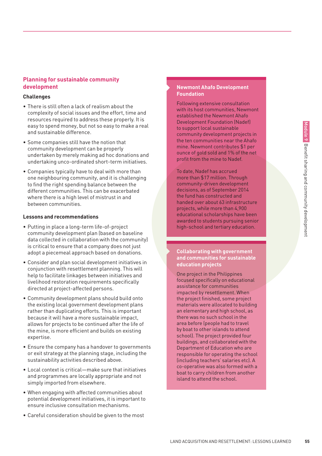## **Planning for sustainable community development**

## **Challenges**

- There is still often a lack of realism about the complexity of social issues and the effort, time and resources required to address these properly. It is easy to spend money, but not so easy to make a real and sustainable difference.
- Some companies still have the notion that community development can be properly undertaken by merely making ad hoc donations and undertaking unco-ordinated short-term initiatives.
- Companies typically have to deal with more than one neighbouring community, and it is challenging to find the right spending balance between the different communities. This can be exacerbated where there is a high level of mistrust in and between communities.

## **Lessons and recommendations**

- Putting in place a long-term life-of-project community development plan (based on baseline data collected in collaboration with the community) is critical to ensure that a company does not just adopt a piecemeal approach based on donations.
- Consider and plan social development initiatives in conjunction with resettlement planning. This will help to facilitate linkages between initiatives and livelihood restoration requirements specifically directed at project-affected persons.
- Community development plans should build onto the existing local government development plans rather than duplicating efforts. This is important because it will have a more sustainable impact, allows for projects to be continued after the life of the mine, is more efficient and builds on existing expertise.
- Ensure the company has a handover to governments or exit strategy at the planning stage, including the sustainability activities described above.
- Local context is critical—make sure that initiatives and programmes are locally appropriate and not simply imported from elsewhere.
- When engaging with affected communities about potential development initiatives, it is important to ensure inclusive consultation mechanisms.
- Careful consideration should be given to the most

#### **Newmont Ahafo Development Foundation**

Following extensive consultation with its host communities, Newmont established the Newmont Ahafo Development Foundation (Nadef) to support local sustainable community development projects in the ten communities near the Ahafo mine. Newmont contributes \$1 per ounce of gold sold and 1% of the net profit from the mine to Nadef.

To date, Nadef has accrued more than \$17 million. Through community-driven development decisions, as of September 2014 the fund has constructed and handed over about 63 infrastructure projects, while more than 4,900 educational scholarships have been awarded to students pursuing senior high-school and tertiary education.

#### **Collaborating with government and communities for sustainable education projects**

LAND ACCULIST THE SETTLEMENT: THE SETTLEMENT: LAND ACQUISITION AND RESETTLEMENT: LAND ACQUISITION AND RESETTLEMENT: LAND ACQUISITION AND RESETTLEMENT: LAND ACQUISITION AND RESETTLEMENT: LESSONS LEARNED<br>
AND ACQUISITION AND One project in the Philippines focused specifically on educational assistance for communities impacted by resettlement. When the project finished, some project materials were allocated to building an elementary and high school, as there was no such school in the area before (people had to travel by boat to other islands to attend school). The project provided four buildings, and collaborated with the Department of Education who are responsible for operating the school (including teachers' salaries etc). A co-operative was also formed with a boat to carry children from another island to attend the school.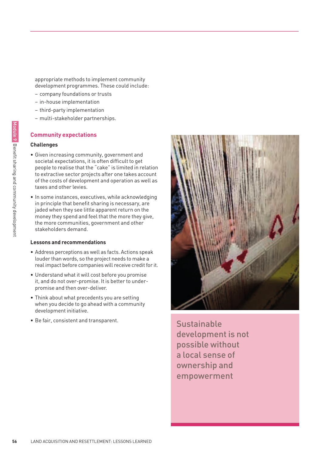<span id="page-55-0"></span>appropriate methods to implement community development programmes. These could include:

- company foundations or trusts
- in-house implementation
- third-party implementation
- multi-stakeholder partnerships.

### **Community expectations**

#### **Challenges**

- **56 Community expectations**<br> **Community apvernment and**<br> **56 Civen increasing community, government and**<br>
societal expectations, it is often difficult to get<br>
and societal expectations, it is often difficult to get<br>
an • Given increasing community, government and societal expectations, it is often difficult to get people to realise that the "cake" is limited in relation to extractive sector projects after one takes account of the costs of development and operation as well as taxes and other levies.
	- In some instances, executives, while acknowledging in principle that benefit sharing is necessary, are jaded when they see little apparent return on the money they spend and feel that the more they give, the more communities, government and other stakeholders demand.

#### **Lessons and recommendations**

- Address perceptions as well as facts. Actions speak louder than words, so the project needs to make a real impact before companies will receive credit for it.
- Understand what it will cost before you promise it, and do not over-promise. It is better to underpromise and then over-deliver.
- Think about what precedents you are setting when you decide to go ahead with a community development initiative.
- Be fair, consistent and transparent. Sustainable



development is not possible without a local sense of ownership and empowerment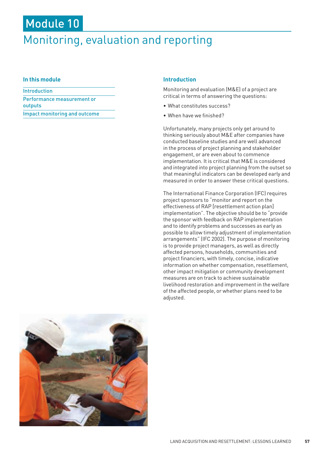## <span id="page-56-0"></span>Module 10

## Monitoring, evaluation and reporting

#### **In this module**

| Introduction                         |
|--------------------------------------|
| Performance measurement or           |
| outputs                              |
| <b>Impact monitoring and outcome</b> |

## **Introduction**

Monitoring and evaluation (M&E) of a project are critical in terms of answering the questions:

- What constitutes success?
- When have we finished?

Unfortunately, many projects only get around to thinking seriously about M&E after companies have conducted baseline studies and are well advanced in the process of project planning and stakeholder engagement, or are even about to commence implementation. It is critical that M&E is considered and integrated into project planning from the outset so that meaningful indicators can be developed early and measured in order to answer these critical questions.

The International Finance Corporation (IFC) requires project sponsors to "monitor and report on the effectiveness of RAP [resettlement action plan] implementation". The objective should be to "provide the sponsor with feedback on RAP implementation and to identify problems and successes as early as possible to allow timely adjustment of implementation arrangements" (IFC 2002). The purpose of monitoring is to provide project managers, as well as directly affected persons, households, communities and project financiers, with timely, concise, indicative information on whether compensation, resettlement, other impact mitigation or community development measures are on track to achieve sustainable livelihood restoration and improvement in the welfare of the affected people, or whether plans need to be adjusted.

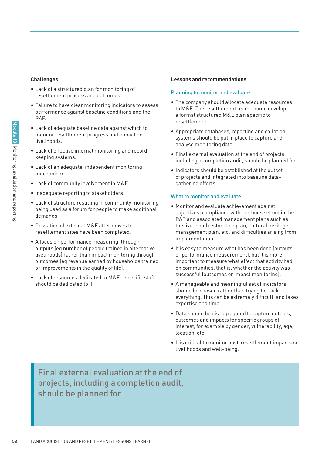#### <span id="page-57-0"></span>**Challenges**

- Lack of a structured plan for monitoring of resettlement process and outcomes.
- Failure to have clear monitoring indicators to assess performance against baseline conditions and the RAP.
- Lack of adequate baseline data against which to monitor resettlement progress and impact on livelihoods.
- Lack of effective internal monitoring and recordkeeping systems.
- Lack of an adequate, independent monitoring mechanism.
- Lack of community involvement in M&E.
- Inadequate reporting to stakeholders.
- Lack of structure resulting in community monitoring being used as a forum for people to make additional demands.
- Cessation of external M&E after moves to resettlement sites have been completed.
- A focus on performance measuring, through outputs (eg number of people trained in alternative livelihoods) rather than impact monitoring through outcomes (eg revenue earned by households trained or improvements in the quality of life).
- Lack of resources dedicated to M&E specific staff should be dedicated to it.

#### **Lessons and recommendations**

#### Planning to monitor and evaluate

- The company should allocate adequate resources to M&E. The resettlement team should develop a formal structured M&E plan specific to resettlement.
- Appropriate databases, reporting and collation systems should be put in place to capture and analyse monitoring data.
- Final external evaluation at the end of projects, including a completion audit, should be planned for.
- Indicators should be established at the outset of projects and integrated into baseline datagathering efforts.

#### What to monitor and evaluate

- Monitor and evaluate achievement against objectives; compliance with methods set out in the RAP and associated management plans such as the livelihood restoration plan, cultural heritage management plan, etc; and difficulties arising from implementation.
- It is easy to measure what has been done (outputs or performance measurement), but it is more important to measure what effect that activity had on communities, that is, whether the activity was successful (outcomes or impact monitoring).
- A manageable and meaningful set of indicators should be chosen rather than trying to track everything. This can be extremely difficult, and takes expertise and time.
- Data should be disaggregated to capture outputs, outcomes and impacts for specific groups of interest, for example by gender, vulnerability, age, location, etc.
- It is critical to monitor post-resettlement impacts on livelihoods and well-being.

Final external evaluation at the end of projects, including a completion audit, should be planned for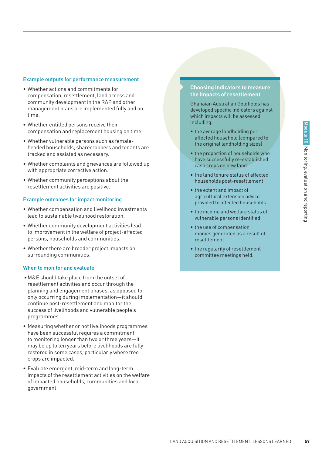## <span id="page-58-0"></span>Example outputs for performance measurement

- Whether actions and commitments for compensation, resettlement, land access and community development in the RAP and other management plans are implemented fully and on time.
- Whether entitled persons receive their compensation and replacement housing on time.
- Whether vulnerable persons such as femaleheaded households, sharecroppers and tenants are tracked and assisted as necessary.
- Whether complaints and grievances are followed up with appropriate corrective action.
- Whether community perceptions about the resettlement activities are positive.

## Example outcomes for impact monitoring

- Whether compensation and livelihood investments lead to sustainable livelihood restoration.
- Whether community development activities lead to improvement in the welfare of project-affected persons, households and communities.
- Whether there are broader project impacts on surrounding communities.

## When to monitor and evaluate

- •M&E should take place from the outset of resettlement activities and occur through the planning and engagement phases, as opposed to only occurring during implementation—it should continue post-resettlement and monitor the success of livelihoods and vulnerable people's programmes.
- Measuring whether or not livelihoods programmes have been successful requires a commitment to monitoring longer than two or three years—it may be up to ten years before livelihoods are fully restored in some cases, particularly where tree crops are impacted.
- Evaluate emergent, mid-term and long-term impacts of the resettlement activities on the welfare of impacted households, communities and local government.

### **Choosing indicators to measure the impacts of resettlement**

Ghanaian Australian Goldfields has developed specific indicators against which impacts will be assessed, including:

- the average landholding per affected household (compared to the original landholding sizes)
- Including<br>
a the average landholding area<br>
the original landholding sizes<br>
the proportion of households who<br>
have successfully re-established<br>
cash or some sure what<br>
of the land tenure status of affected<br>
the tenure statu • the proportion of households who have successfully re-established cash crops on new land
	- the land tenure status of affected households post-resettlement
	- the extent and impact of agricultural extension advice provided to affected households
	- the income and welfare status of vulnerable persons identified
	- the use of compensation monies generated as a result of resettlement
	- the regularity of resettlement committee meetings held.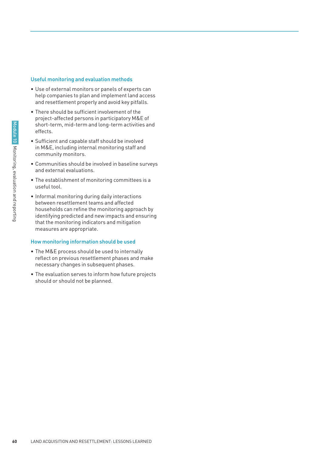#### Useful monitoring and evaluation methods

- Use of external monitors or panels of experts can help companies to plan and implement land access and resettlement properly and avoid key pitfalls.
- There should be sufficient involvement of the project-affected persons in participatory M&E of short-term, mid-term and long-term activities and effects.
- Sufficient and capable staff should be involved in M&E, including internal monitoring staff and community monitors.
- Communities should be involved in baseline surveys and external evaluations.
- The establishment of monitoring committees is a useful tool.
- Informal monitoring during daily interactions between resettlement teams and affected households can refine the monitoring approach by identifying predicted and new impacts and ensuring that the monitoring indicators and mitigation measures are appropriate.

#### How monitoring information should be used

- The M&E process should be used to internally reflect on previous resettlement phases and make necessary changes in subsequent phases.
- The evaluation serves to inform how future projects should or should not be planned.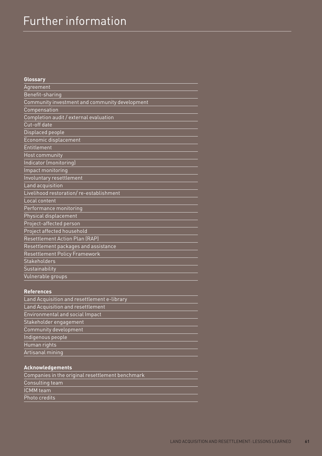## <span id="page-60-0"></span>Further information

| Glossary                                       |
|------------------------------------------------|
| Agreement                                      |
| Benefit-sharing                                |
| Community investment and community development |
| Compensation                                   |
| Completion audit / external evaluation         |
| Cut-off date                                   |
| Displaced people                               |
| Economic displacement                          |
| Entitlement                                    |
| Host community                                 |
| Indicator (monitoring)                         |
| Impact monitoring                              |
| Involuntary resettlement                       |
| Land acquisition                               |
| Livelihood restoration/re-establishment        |
| Local content                                  |
| Performance monitoring                         |
| Physical displacement                          |
| Project-affected person                        |
| Project affected household                     |
| <b>Resettlement Action Plan (RAP)</b>          |
| Resettlement packages and assistance           |
| <b>Resettlement Policy Framework</b>           |
| Stakeholders                                   |
| Sustainability                                 |
| Vulnerable groups                              |
|                                                |

## **References**

| Land Acquisition and resettlement e-library |
|---------------------------------------------|
| Land Acquisition and resettlement           |
| <b>Environmental and social Impact</b>      |
| Stakeholder engagement                      |
| Community development                       |
| Indigenous people                           |
| Human rights                                |
| Artisanal mining                            |

## **Acknowledgements**

| Companies in the original resettlement benchmark |  |
|--------------------------------------------------|--|
| Consulting team                                  |  |
| ICMM team.                                       |  |
| Photo credits                                    |  |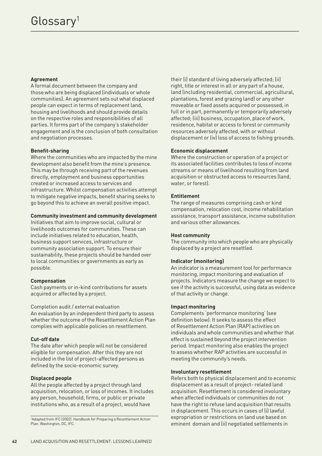#### <span id="page-61-0"></span>**Agreement**

A formal document between the company and those who are being displaced (individuals or whole communities). An agreement sets out what displaced people can expect in terms of replacement land, housing and livelihoods and should provide details on the respective roles and responsibilities of all parties. It forms part of the company's stakeholder engagement and is the conclusion of both consultation and negotiation processes.

#### **Benefit-sharing**

Where the communities who are impacted by the mine development also benefit from the mine's presence. This may be through receiving part of the revenues directly, employment and business opportunities created or increased access to services and infrastructure. Whilst compensation activities attempt to mitigate negative impacts, benefit sharing seeks to go beyond this to achieve an overall positive impact.

#### **Community investment and community development**

Initiatives that aim to improve social, cultural or livelihoods outcomes for communities. These can include initiatives related to education, health, business support services, infrastructure or community association support. To ensure their sustainability, these projects should be handed over to local communities or governments as early as possible.

#### **Compensation**

Cash payments or in-kind contributions for assets acquired or affected by a project.

Completion audit / external evaluation An evaluation by an independent third party to assess whether the outcome of the Resettlement Action Plan complies with applicable policies on resettlement.

#### **Cut-off date**

The date after which people will not be considered eligible for compensation. After this they are not included in the list of project-affected persons as defined by the socio-economic survey.

#### **Displaced people**

All the people affected by a project through land acquisition, relocation, or loss of incomes. It includes any person, household, firms, or public or private institutions who, as a result of a project, would have

1 Adapted from IFC (2002). Handbook for Preparing a Resettlement Action Plan. Washington, DC, IFC.

their (i) standard of living adversely affected; (ii) right, title or interest in all or any part of a house, land (including residential, commercial, agricultural, plantations, forest and grazing land) or any other moveable or fixed assets acquired or possessed, in full or in part, permanently or temporarily adversely affected; (iii) business, occupation, place of work, residence, habitat or access to forest or community resources adversely affected, with or without displacement or (iv) loss of access to fishing grounds.

#### **Economic displacement**

Where the construction or operation of a project or its associated facilities contributes to loss of income streams or means of livelihood resulting from land acquisition or obstructed access to resources (land, water, or forest).

#### **Entitlement**

The range of measures comprising cash or kind compensation, relocation cost, income rehabilitation assistance, transport assistance, income substitution and various other allowances.

#### **Host community**

The community into which people who are physically displaced by a project are resettled.

#### **Indicator (monitoring)**

An indicator is a measurement tool for performance monitoring, impact monitoring and evaluation of projects. Indicators measure the change we expect to see if the activity is successful, using data as evidence of that activity or change.

#### **Impact monitoring**

Complements 'performance monitoring' (see definition below). It seeks to assess the effect of Resettlement Action Plan (RAP) activities on individuals and whole communities and whether that effect is sustained beyond the project intervention period. Impact monitoring also enables the project to assess whether RAP activities are successful in meeting the community's needs.

#### **Involuntary resettlement**

Refers both to physical displacement and to economic displacement as a result of project- related land acquisition. Resettlement is considered involuntary when affected individuals or communities do not have the right to refuse land acquisition that results in displacement. This occurs in cases of (i) lawful expropriation or restrictions on land use based on eminent domain and (ii) negotiated settlements in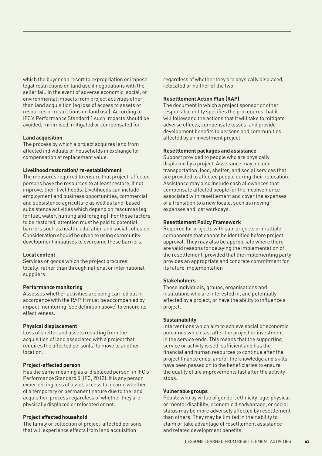<span id="page-62-0"></span>which the buyer can resort to expropriation or impose legal restrictions on land use if negotiations with the seller fail. In the event of adverse economic, social, or environmental impacts from project activities other than land acquisition (eg loss of access to assets or resources or restrictions on land use). According to IFC's Performance Standard 1 such impacts should be avoided, minimised, mitigated or compensated for.

#### **Land acquisition**

The process by which a project acquires land from affected individuals or households in exchange for compensation at replacement value.

#### **Livelihood restoration/ re-establishment**

The measures required to ensure that project-affected persons have the resources to at least restore, if not improve, their livelihoods. Livelihoods can include employment and business opportunities, commercial and subsistence agriculture as well as land-based subsistence activities which depend on resources (eg for fuel, water, hunting and foraging). For these factors to be restored, attention must be paid to potential barriers such as health, education and social cohesion. Consideration should be given to using community development initiatives to overcome these barriers.

#### **Local content**

Services or goods which the project procures locally, rather than through national or international suppliers.

#### **Performance monitoring**

Assesses whether activities are being carried out in accordance with the RAP. It must be accompanied by impact monitoring (see definition above) to ensure its effectiveness.

#### **Physical displacement**

Loss of shelter and assets resulting from the acquisition of land associated with a project that requires the affected person(s) to move to another location.

#### **Project-affected person**

Has the same meaning as a 'displaced person' in IFC's Performance Standard 5 (IFC, 2012). It is any person experiencing loss of asset, access to income whether of a temporary or permanent nature due to the land acquisition process regardless of whether they are physically displaced or relocated or not.

#### **Project affected household**

The family or collection of project-affected persons that will experience effects from land acquisition

regardless of whether they are physically displaced, relocated or neither of the two.

#### **Resettlement Action Plan (RAP)**

The document in which a project sponsor or other responsible entity specifies the procedures that it will follow and the actions that it will take to mitigate adverse effects, compensate losses, and provide development benefits to persons and communities affected by an investment project.

#### **Resettlement packages and assistance**

Support provided to people who are physically displaced by a project. Assistance may include transportation, food, shelter, and social services that are provided to affected people during their relocation. Assistance may also include cash allowances that compensate affected people for the inconvenience associated with resettlement and cover the expenses of a transition to a new locale, such as moving expenses and lost workdays.

#### **Resettlement Policy Framework**

Required for projects with sub-projects or multiple components that cannot be identified before project approval. They may also be appropriate where there are valid reasons for delaying the implementation of the resettlement, provided that the implementing party provides an appropriate and concrete commitment for its future implementation

#### **Stakeholders**

Those individuals, groups, organisations and institutions who are interested in, and potentially affected by a project, or have the ability to influence a project.

#### **Sustainability**

Interventions which aim to achieve social or economic outcomes which last after the project or investment in the service ends. This means that the supporting service or activity is self-sufficient and has the financial and human resources to continue after the project finance ends, and/or the knowledge and skills have been passed on to the beneficiaries to ensure the quality of life improvements last after the activity stops.

#### **Vulnerable groups**

People who by virtue of gender, ethnicity, age, physical or mental disability, economic disadvantage, or social status may be more adversely affected by resettlement than others. They may be limited in their ability to claim or take advantage of resettlement assistance and related development benefits.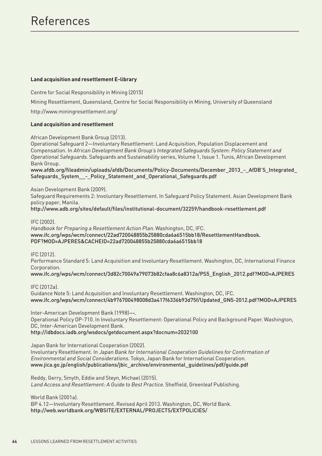#### <span id="page-63-0"></span>**Land acquisition and resettlement E-library**

Centre for Social Responsibility in Mining (2015)

Mining Resettlement, Queensland, Centre for Social Responsibility in Mining, University of Queensland

http://www.miningresettlement.org/

#### **Land acquisition and resettlement**

African Development Bank Group (2013).

Operational Safeguard 2—Involuntary Resettlement: Land Acquisition, Population Displacement and Compensation. In African Development Bank Group's Integrated Safeguards System: Policy Statement and Operational Safequards. Safequards and Sustainability series, Volume 1, Issue 1. Tunis, African Development Bank Group.

www.afdb.org/fileadmin/uploads/afdb/Documents/Policy-Documents/December\_2013\_-\_AfDB'S\_Integrated\_ Safeguards System - Policy Statement and Operational Safeguards.pdf

Asian Development Bank (2009).

Safeguard Requirements 2: Involuntary Resettlement. In Safeguard Policy Statement. Asian Development Bank policy paper, Manila.

http://www.adb.org/sites/default/files/institutional-document/32259/handbook-resettlement.pdf

IFC (2002). Handbook for Preparing a Resettlement Action Plan. Washington, DC, IFC. www.ifc.org/wps/wcm/connect/22ad720048855b25880cda6a6515bb18/ResettlementHandbook. PDF?MOD=AJPERES&CACHEID=22ad720048855b25880cda6a6515bb18

 $IFC [2012]$ 

Performance Standard 5: Land Acquisition and Involuntary Resettlement. Washington, DC, International Finance Corporation.

www.ifc.org/wps/wcm/connect/3d82c70049a79073b82cfaa8c6a8312a/PS5\_English\_2012.pdf?MOD=AJPERES

IFC (2012a).

Guidance Note 5: Land Acquisition and Involuntary Resettlement. Washington, DC, IFC. www.ifc.org/wps/wcm/connect/4b976700498008d3a417f6336b93d75f/Updated\_GN5-2012.pdf?MOD=AJPERES

Inter-American Development Bank (1998)¬¬. Operational Policy OP-710. In Involuntary Resettlement: Operational Policy and Background Paper. Washington, DC, Inter-American Development Bank. http://idbdocs.iadb.org/wsdocs/getdocument.aspx?docnum=2032100

Japan Bank for International Cooperation (2002).

Involuntary Resettlement. In Japan Bank for International Cooperation Guidelines for Confirmation of Environmental and Social Considerations. Tokyo, Japan Bank for International Cooperation. www.jica.go.jp/english/publications/jbic\_archive/environmental\_guidelines/pdf/guide.pdf

Reddy, Gerry, Smyth, Eddie and Steyn, Michael (2015). Land Access and Resettlement: A Guide to Best Practice. Sheffield, Greenleaf Publishing.

World Bank (2001a).

BP 4.12—Involuntary Resettlement. Revised April 2013. Washington, DC, World Bank. http://web.worldbank.org/WBSITE/EXTERNAL/PROJECTS/EXTPOLICIES/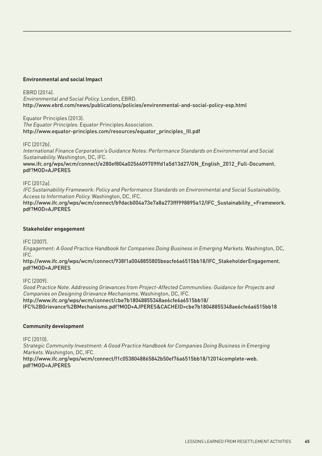#### <span id="page-64-0"></span>**Environmental and social Impact**

EBRD (2014). Environmental and Social Policy. London, EBRD. http://www.ebrd.com/news/publications/policies/environmental-and-social-policy-esp.html

Equator Principles (2013). The Equator Principles. Equator Principles Association. http://www.equator-principles.com/resources/equator\_principles\_III.pdf

IFC (2012b).

International Finance Corporation's Guidance Notes: Performance Standards on Environmental and Social Sustainability. Washington, DC, IFC.

www.ifc.org/wps/wcm/connect/e280ef804a0256609709ffd1a5d13d27/GN\_English\_2012\_Full-Document. pdf?MOD=AJPERES

IFC (2012a).

IFC Sustainability Framework: Policy and Performance Standards on Environmental and Social Sustainability, Access to Information Policy. Washington, DC, IFC.

http://www.ifc.org/wps/wcm/connect/b9dacb004a73e7a8a273fff998895a12/IFC\_Sustainability\_+Framework. pdf?MOD=AJPERES

#### **Stakeholder engagement**

IFC (2007).

Engagement: A Good Practice Handbook for Companies Doing Business in Emerging Markets. Washington, DC, IFC.

http://www.ifc.org/wps/wcm/connect/938f1a0048855805beacfe6a6515bb18/IFC\_StakeholderEngagement. pdf?MOD=AJPERES

IFC (2009).

Good Practice Note. Addressing Grievances from Project-Affected Communities: Guidance for Projects and Companies on Designing Grievance Mechanisms. Washington, DC, IFC. http://www.ifc.org/wps/wcm/connect/cbe7b18048855348ae6cfe6a6515bb18/ IFC%2BGrievance%2BMechanisms.pdf?MOD=AJPERES&CACHEID=cbe7b18048855348ae6cfe6a6515bb18

#### **Community development**

IFC (2010).

Strategic Community Investment: A Good Practice Handbook for Companies Doing Business in Emerging Markets. Washington, DC, IFC. http://www.ifc.org/wps/wcm/connect/f1c0538048865842b50ef76a6515bb18/12014complete-web. pdf?MOD=AJPERES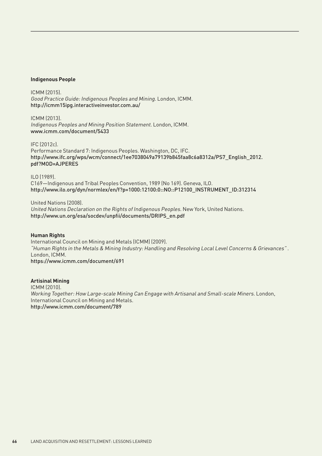#### <span id="page-65-0"></span>**Indigenous People**

ICMM (2015). Good Practice Guide: Indigenous Peoples and Mining. London, ICMM. http://icmm15ipg.interactiveinvestor.com.au/

ICMM (2013). Indigenous Peoples and Mining Position Statement. London, ICMM. www.icmm.com/document/5433

IFC (2012c). Performance Standard 7: Indigenous Peoples. Washington, DC, IFC. http://www.ifc.org/wps/wcm/connect/1ee7038049a79139b845faa8c6a8312a/PS7\_English\_2012. pdf?MOD=AJPERES

ILO (1989). C169—Indigenous and Tribal Peoples Convention, 1989 (No 169). Geneva, ILO. http://www.ilo.org/dyn/normlex/en/f?p=1000:12100:0::NO::P12100\_INSTRUMENT\_ID:312314

United Nations (2008). United Nations Declaration on the Rights of Indigenous Peoples. New York, United Nations. http://www.un.org/esa/socdev/unpfii/documents/DRIPS\_en.pdf

#### **Human Rights**

International Council on Mining and Metals (ICMM) (2009). "Human Rights in the Metals & Mining Industry: Handling and Resolving Local Level Concerns & Grievances" . London, ICMM. https://www.icmm.com/document/691

#### **Artisinal Mining**

ICMM (2010). Working Together: How Large-scale Mining Can Engage with Artisanal and Small-scale Miners. London, International Council on Mining and Metals. http://www.icmm.com/document/789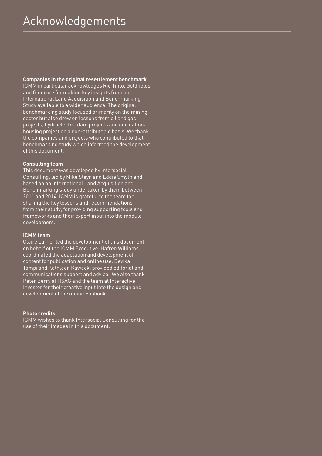#### <span id="page-66-0"></span>**Companies in the original resettlement benchmark**

ICMM in particular acknowledges Rio Tinto, Goldfields and Glencore for making key insights from an International Land Acquisition and Benchmarking Study available to a wider audience. The original benchmarking study focused primarily on the mining sector but also drew on lessons from oil and gas projects, hydroelectric dam projects and one national housing project on a non-attributable basis. We thank the companies and projects who contributed to that benchmarking study which informed the development of this document.

#### **Consulting team**

This document was developed by Intersocial Consulting, led by Mike Steyn and Eddie Smyth and based on an International Land Acquisition and Benchmarking study undertaken by them between 2011 and 2014. ICMM is grateful to the team for sharing the key lessons and recommendations from their study, for providing supporting tools and frameworks and their expert input into the module development.

#### **ICMM team**

Claire Larner led the development of this document on behalf of the ICMM Executive. Hafren Williams coordinated the adaptation and development of content for publication and online use. Devika Tampi and Kathleen Kawecki provided editorial and communications support and advice. We also thank Peter Berry at HSAG and the team at Interactive Investor for their creative input into the design and development of the online Flipbook.

#### **Photo credits**

ICMM wishes to thank Intersocial Consulting for the use of their images in this document.